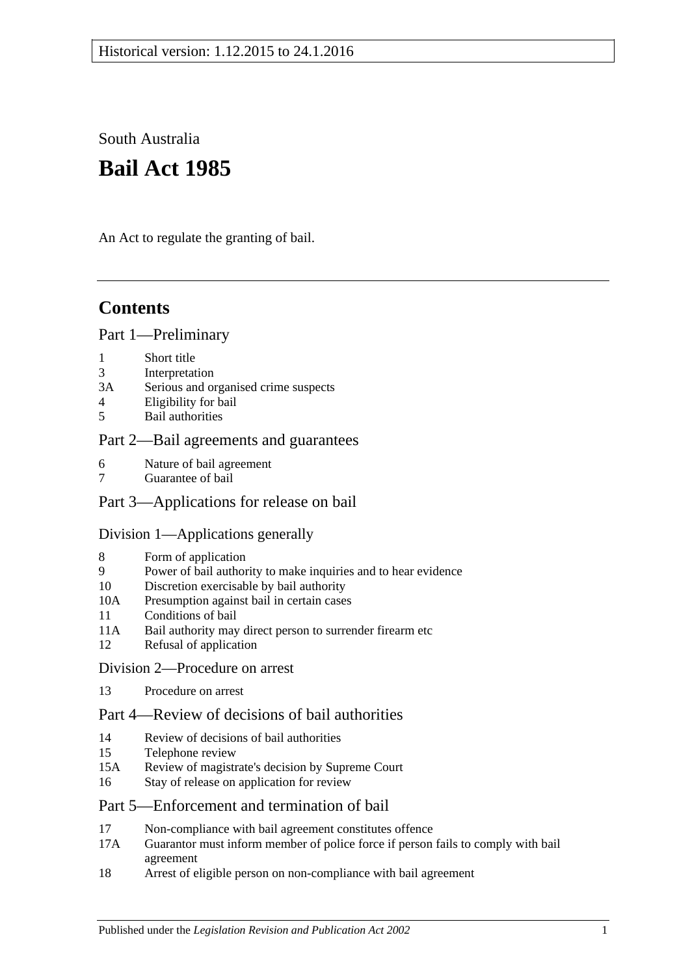South Australia

# **Bail Act 1985**

An Act to regulate the granting of bail.

# **Contents**

### [Part 1—Preliminary](#page-1-0)

- 1 [Short title](#page-1-1)
- 3 [Interpretation](#page-1-2)
- 3A [Serious and organised crime suspects](#page-3-0)
- 4 [Eligibility for bail](#page-3-1)
- 5 [Bail authorities](#page-4-0)

# [Part 2—Bail agreements and guarantees](#page-5-0)

- 6 [Nature of bail agreement](#page-5-1)
- 7 [Guarantee of bail](#page-6-0)

# [Part 3—Applications for release on bail](#page-7-0)

# [Division 1—Applications generally](#page-7-1)

- 8 [Form of application](#page-7-2)
- 9 [Power of bail authority to make inquiries and to hear evidence](#page-7-3)
- 10 [Discretion exercisable by bail authority](#page-8-0)
- 10A [Presumption against bail in certain cases](#page-8-1)
- 11 [Conditions of bail](#page-10-0)
- 11A [Bail authority may direct person to surrender firearm etc](#page-14-0)
- 12 [Refusal of application](#page-14-1)
- [Division 2—Procedure on arrest](#page-14-2)
- 13 [Procedure on arrest](#page-14-3)

# [Part 4—Review of decisions of bail authorities](#page-15-0)

- 14 [Review of decisions of bail authorities](#page-15-1)
- 15 [Telephone review](#page-16-0)
- 15A Review of magistrate's [decision by Supreme Court](#page-17-0)
- 16 [Stay of release on application for review](#page-17-1)

# [Part 5—Enforcement and termination of bail](#page-18-0)

- 17 [Non-compliance with bail agreement constitutes offence](#page-18-1)
- 17A [Guarantor must inform member of police force if person fails to comply with bail](#page-19-0)  [agreement](#page-19-0)
- 18 [Arrest of eligible person on non-compliance with bail agreement](#page-19-1)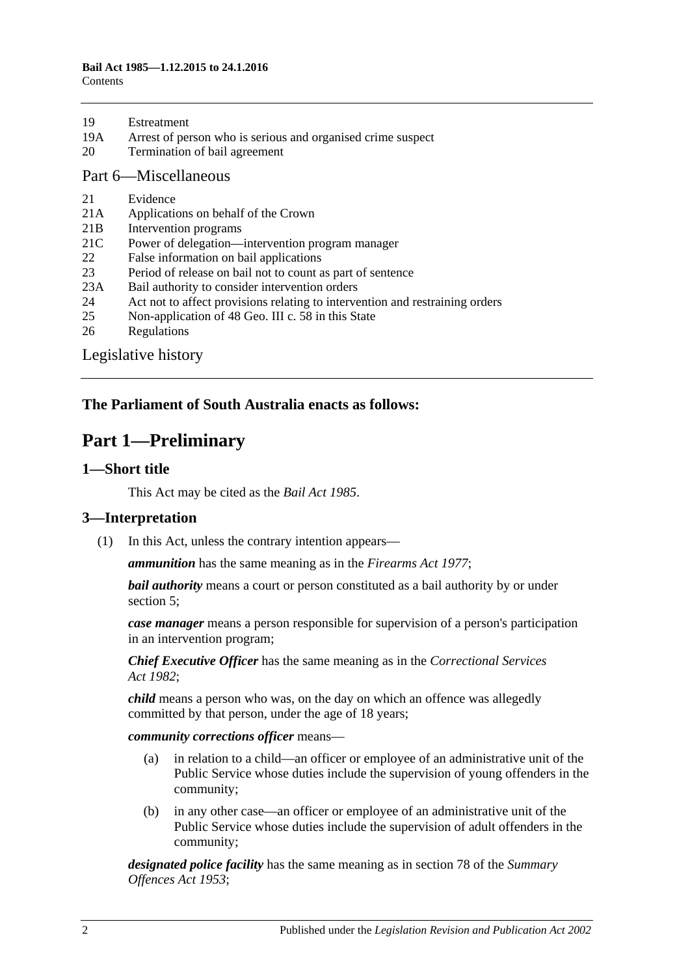| 19 | Estreatment |
|----|-------------|
|    |             |

- 19A [Arrest of person who is serious and organised crime suspect](#page-20-0)
- 20 [Termination of bail agreement](#page-20-1)

#### [Part 6—Miscellaneous](#page-20-2)

- 21 [Evidence](#page-20-3)
- 21A [Applications on behalf of the Crown](#page-20-4)
- 21B [Intervention programs](#page-20-5)
- 21C [Power of delegation—intervention program manager](#page-21-0)
- 22 [False information on bail applications](#page-22-0)
- 23 [Period of release on bail not to count as part of sentence](#page-22-1)
- 23A [Bail authority to consider intervention orders](#page-22-2)
- 24 [Act not to affect provisions relating to intervention and restraining orders](#page-23-0)
- 25 [Non-application of 48 Geo. III c. 58 in this State](#page-23-1)
- 26 [Regulations](#page-23-2)

[Legislative history](#page-24-0)

# <span id="page-1-0"></span>**The Parliament of South Australia enacts as follows:**

# **Part 1—Preliminary**

#### <span id="page-1-1"></span>**1—Short title**

This Act may be cited as the *Bail Act 1985*.

#### <span id="page-1-2"></span>**3—Interpretation**

(1) In this Act, unless the contrary intention appears—

*ammunition* has the same meaning as in the *[Firearms Act](http://www.legislation.sa.gov.au/index.aspx?action=legref&type=act&legtitle=Firearms%20Act%201977) 1977*;

*bail authority* means a court or person constituted as a bail authority by or under [section](#page-4-0) 5;

*case manager* means a person responsible for supervision of a person's participation in an intervention program;

*Chief Executive Officer* has the same meaning as in the *[Correctional Services](http://www.legislation.sa.gov.au/index.aspx?action=legref&type=act&legtitle=Correctional%20Services%20Act%201982)  Act [1982](http://www.legislation.sa.gov.au/index.aspx?action=legref&type=act&legtitle=Correctional%20Services%20Act%201982)*;

*child* means a person who was, on the day on which an offence was allegedly committed by that person, under the age of 18 years;

*community corrections officer* means—

- (a) in relation to a child—an officer or employee of an administrative unit of the Public Service whose duties include the supervision of young offenders in the community;
- (b) in any other case—an officer or employee of an administrative unit of the Public Service whose duties include the supervision of adult offenders in the community;

*designated police facility* has the same meaning as in section 78 of the *[Summary](http://www.legislation.sa.gov.au/index.aspx?action=legref&type=act&legtitle=Summary%20Offences%20Act%201953)  [Offences Act](http://www.legislation.sa.gov.au/index.aspx?action=legref&type=act&legtitle=Summary%20Offences%20Act%201953) 1953*;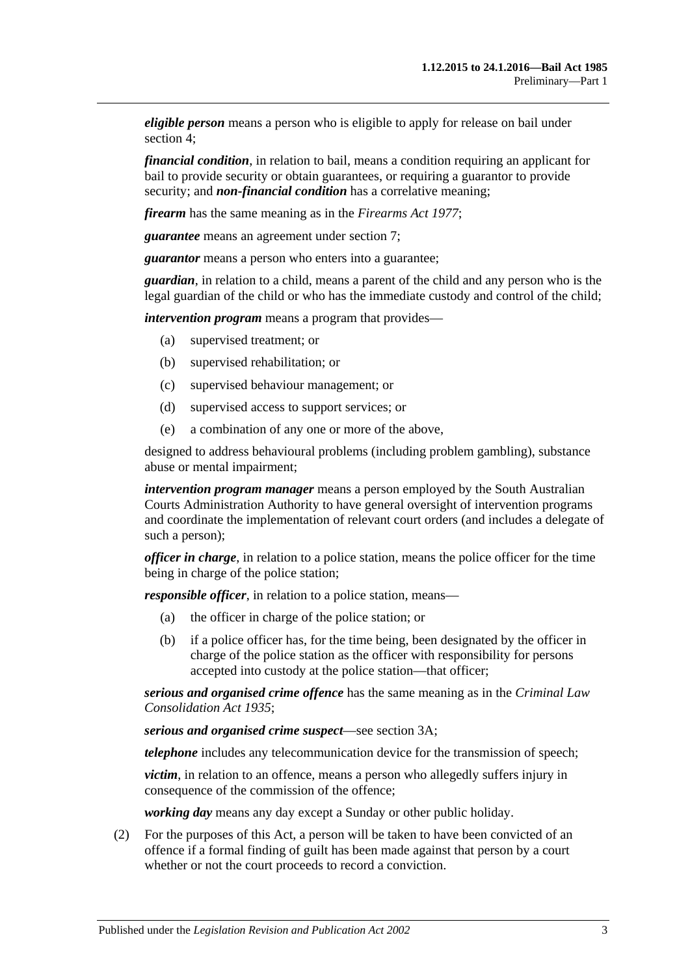*eligible person* means a person who is eligible to apply for release on bail under [section](#page-3-1) 4;

*financial condition*, in relation to bail, means a condition requiring an applicant for bail to provide security or obtain guarantees, or requiring a guarantor to provide security; and *non-financial condition* has a correlative meaning;

*firearm* has the same meaning as in the *[Firearms Act](http://www.legislation.sa.gov.au/index.aspx?action=legref&type=act&legtitle=Firearms%20Act%201977) 1977*;

*guarantee* means an agreement under [section](#page-6-0) 7;

*guarantor* means a person who enters into a guarantee;

*guardian*, in relation to a child, means a parent of the child and any person who is the legal guardian of the child or who has the immediate custody and control of the child;

*intervention program* means a program that provides—

- (a) supervised treatment; or
- (b) supervised rehabilitation; or
- (c) supervised behaviour management; or
- (d) supervised access to support services; or
- (e) a combination of any one or more of the above,

designed to address behavioural problems (including problem gambling), substance abuse or mental impairment;

*intervention program manager* means a person employed by the South Australian Courts Administration Authority to have general oversight of intervention programs and coordinate the implementation of relevant court orders (and includes a delegate of such a person);

*officer in charge*, in relation to a police station, means the police officer for the time being in charge of the police station;

*responsible officer*, in relation to a police station, means—

- (a) the officer in charge of the police station; or
- (b) if a police officer has, for the time being, been designated by the officer in charge of the police station as the officer with responsibility for persons accepted into custody at the police station—that officer;

*serious and organised crime offence* has the same meaning as in the *[Criminal Law](http://www.legislation.sa.gov.au/index.aspx?action=legref&type=act&legtitle=Criminal%20Law%20Consolidation%20Act%201935)  [Consolidation Act](http://www.legislation.sa.gov.au/index.aspx?action=legref&type=act&legtitle=Criminal%20Law%20Consolidation%20Act%201935) 1935*;

*serious and organised crime suspect*—see [section](#page-3-0) 3A;

*telephone* includes any telecommunication device for the transmission of speech;

*victim*, in relation to an offence, means a person who allegedly suffers injury in consequence of the commission of the offence;

*working day* means any day except a Sunday or other public holiday.

(2) For the purposes of this Act, a person will be taken to have been convicted of an offence if a formal finding of guilt has been made against that person by a court whether or not the court proceeds to record a conviction.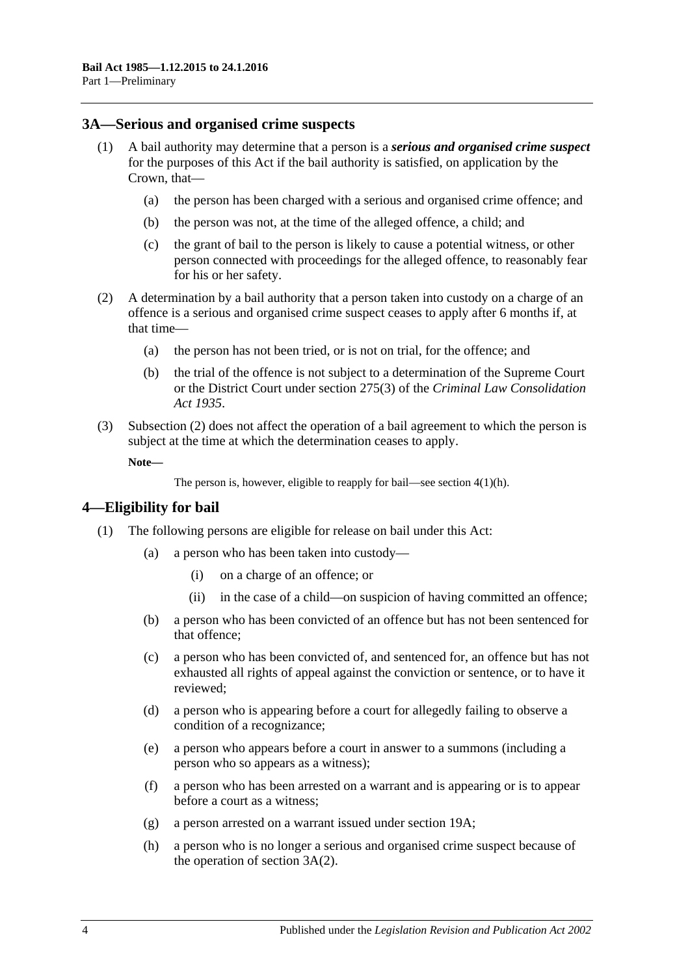#### <span id="page-3-0"></span>**3A—Serious and organised crime suspects**

- <span id="page-3-5"></span><span id="page-3-4"></span>(1) A bail authority may determine that a person is a *serious and organised crime suspect* for the purposes of this Act if the bail authority is satisfied, on application by the Crown, that—
	- (a) the person has been charged with a serious and organised crime offence; and
	- (b) the person was not, at the time of the alleged offence, a child; and
	- (c) the grant of bail to the person is likely to cause a potential witness, or other person connected with proceedings for the alleged offence, to reasonably fear for his or her safety.
- <span id="page-3-6"></span><span id="page-3-2"></span>(2) A determination by a bail authority that a person taken into custody on a charge of an offence is a serious and organised crime suspect ceases to apply after 6 months if, at that time—
	- (a) the person has not been tried, or is not on trial, for the offence; and
	- (b) the trial of the offence is not subject to a determination of the Supreme Court or the District Court under section 275(3) of the *[Criminal Law Consolidation](http://www.legislation.sa.gov.au/index.aspx?action=legref&type=act&legtitle=Criminal%20Law%20Consolidation%20Act%201935)  Act [1935](http://www.legislation.sa.gov.au/index.aspx?action=legref&type=act&legtitle=Criminal%20Law%20Consolidation%20Act%201935)*.
- (3) [Subsection](#page-3-2) (2) does not affect the operation of a bail agreement to which the person is subject at the time at which the determination ceases to apply.

**Note—**

```
The person is, however, eligible to reapply for bail—see section 4(1)(h).
```
#### <span id="page-3-1"></span>**4—Eligibility for bail**

- <span id="page-3-3"></span>(1) The following persons are eligible for release on bail under this Act:
	- (a) a person who has been taken into custody—
		- (i) on a charge of an offence; or
		- (ii) in the case of a child—on suspicion of having committed an offence;
	- (b) a person who has been convicted of an offence but has not been sentenced for that offence;
	- (c) a person who has been convicted of, and sentenced for, an offence but has not exhausted all rights of appeal against the conviction or sentence, or to have it reviewed;
	- (d) a person who is appearing before a court for allegedly failing to observe a condition of a recognizance;
	- (e) a person who appears before a court in answer to a summons (including a person who so appears as a witness);
	- (f) a person who has been arrested on a warrant and is appearing or is to appear before a court as a witness;
	- (g) a person arrested on a warrant issued under [section](#page-20-0) 19A;
	- (h) a person who is no longer a serious and organised crime suspect because of the operation of [section](#page-3-2) 3A(2).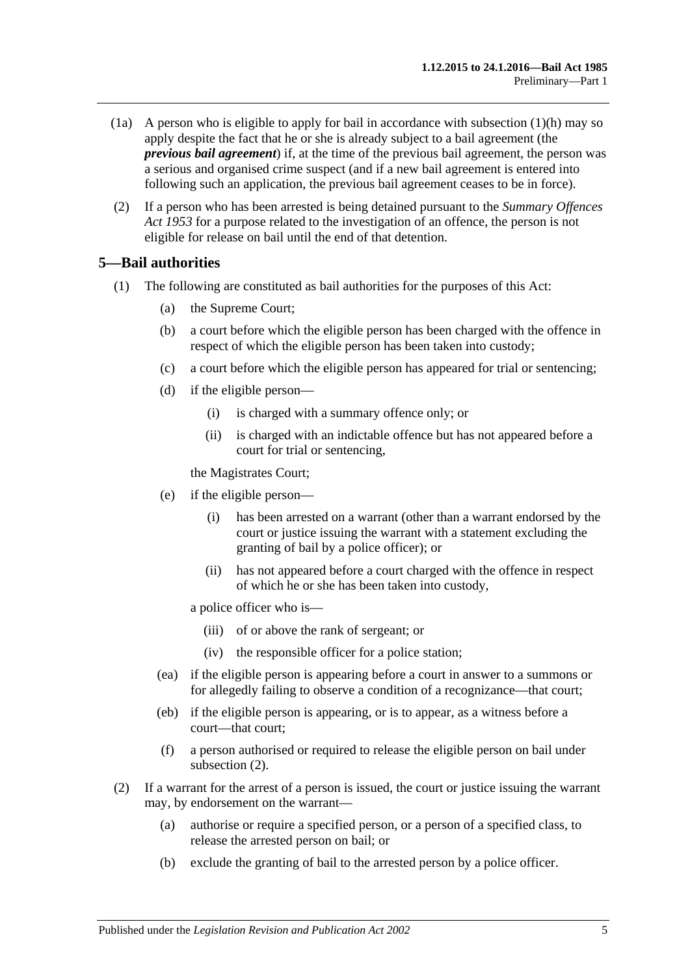- (1a) A person who is eligible to apply for bail in accordance with [subsection](#page-3-3)  $(1)(h)$  may so apply despite the fact that he or she is already subject to a bail agreement (the *previous bail agreement*) if, at the time of the previous bail agreement, the person was a serious and organised crime suspect (and if a new bail agreement is entered into following such an application, the previous bail agreement ceases to be in force).
- (2) If a person who has been arrested is being detained pursuant to the *[Summary Offences](http://www.legislation.sa.gov.au/index.aspx?action=legref&type=act&legtitle=Summary%20Offences%20Act%201953)  Act [1953](http://www.legislation.sa.gov.au/index.aspx?action=legref&type=act&legtitle=Summary%20Offences%20Act%201953)* for a purpose related to the investigation of an offence, the person is not eligible for release on bail until the end of that detention.

# <span id="page-4-0"></span>**5—Bail authorities**

- (1) The following are constituted as bail authorities for the purposes of this Act:
	- (a) the Supreme Court;
	- (b) a court before which the eligible person has been charged with the offence in respect of which the eligible person has been taken into custody;
	- (c) a court before which the eligible person has appeared for trial or sentencing;
	- (d) if the eligible person—
		- (i) is charged with a summary offence only; or
		- (ii) is charged with an indictable offence but has not appeared before a court for trial or sentencing,

the Magistrates Court;

- (e) if the eligible person—
	- (i) has been arrested on a warrant (other than a warrant endorsed by the court or justice issuing the warrant with a statement excluding the granting of bail by a police officer); or
	- (ii) has not appeared before a court charged with the offence in respect of which he or she has been taken into custody,

a police officer who is—

- (iii) of or above the rank of sergeant; or
- (iv) the responsible officer for a police station;
- (ea) if the eligible person is appearing before a court in answer to a summons or for allegedly failing to observe a condition of a recognizance—that court;
- (eb) if the eligible person is appearing, or is to appear, as a witness before a court—that court;
- (f) a person authorised or required to release the eligible person on bail under [subsection](#page-4-1) (2).
- <span id="page-4-1"></span>(2) If a warrant for the arrest of a person is issued, the court or justice issuing the warrant may, by endorsement on the warrant—
	- (a) authorise or require a specified person, or a person of a specified class, to release the arrested person on bail; or
	- (b) exclude the granting of bail to the arrested person by a police officer.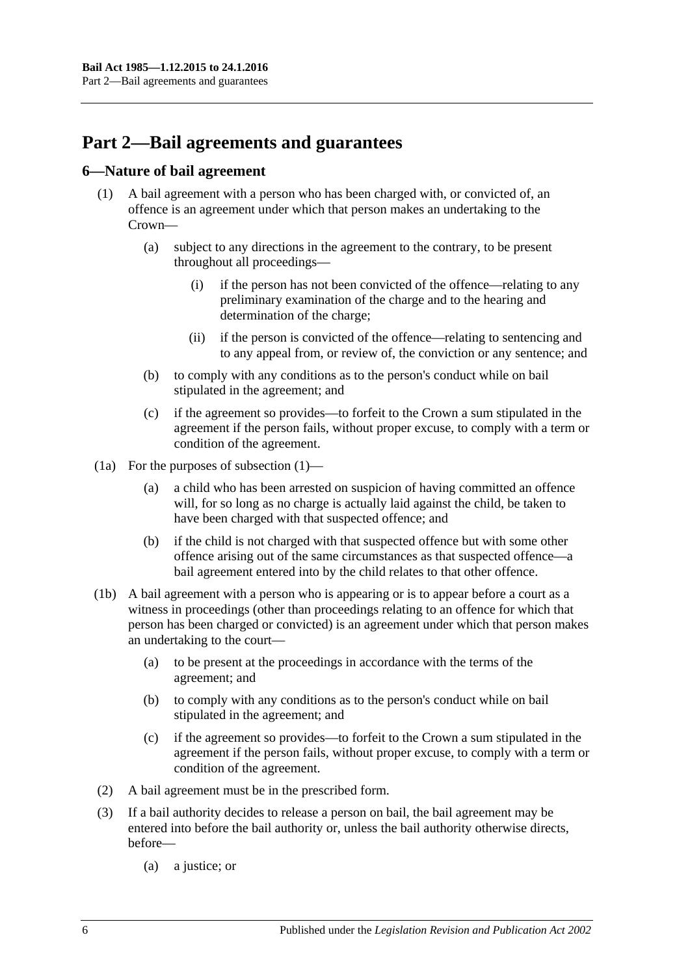# <span id="page-5-0"></span>**Part 2—Bail agreements and guarantees**

# <span id="page-5-2"></span><span id="page-5-1"></span>**6—Nature of bail agreement**

- (1) A bail agreement with a person who has been charged with, or convicted of, an offence is an agreement under which that person makes an undertaking to the Crown—
	- (a) subject to any directions in the agreement to the contrary, to be present throughout all proceedings—
		- (i) if the person has not been convicted of the offence—relating to any preliminary examination of the charge and to the hearing and determination of the charge;
		- (ii) if the person is convicted of the offence—relating to sentencing and to any appeal from, or review of, the conviction or any sentence; and
	- (b) to comply with any conditions as to the person's conduct while on bail stipulated in the agreement; and
	- (c) if the agreement so provides—to forfeit to the Crown a sum stipulated in the agreement if the person fails, without proper excuse, to comply with a term or condition of the agreement.
- (1a) For the purposes of [subsection](#page-5-2) (1)—
	- (a) a child who has been arrested on suspicion of having committed an offence will, for so long as no charge is actually laid against the child, be taken to have been charged with that suspected offence; and
	- (b) if the child is not charged with that suspected offence but with some other offence arising out of the same circumstances as that suspected offence—a bail agreement entered into by the child relates to that other offence.
- (1b) A bail agreement with a person who is appearing or is to appear before a court as a witness in proceedings (other than proceedings relating to an offence for which that person has been charged or convicted) is an agreement under which that person makes an undertaking to the court—
	- (a) to be present at the proceedings in accordance with the terms of the agreement; and
	- (b) to comply with any conditions as to the person's conduct while on bail stipulated in the agreement; and
	- (c) if the agreement so provides—to forfeit to the Crown a sum stipulated in the agreement if the person fails, without proper excuse, to comply with a term or condition of the agreement.
- (2) A bail agreement must be in the prescribed form.
- (3) If a bail authority decides to release a person on bail, the bail agreement may be entered into before the bail authority or, unless the bail authority otherwise directs, before—
	- (a) a justice; or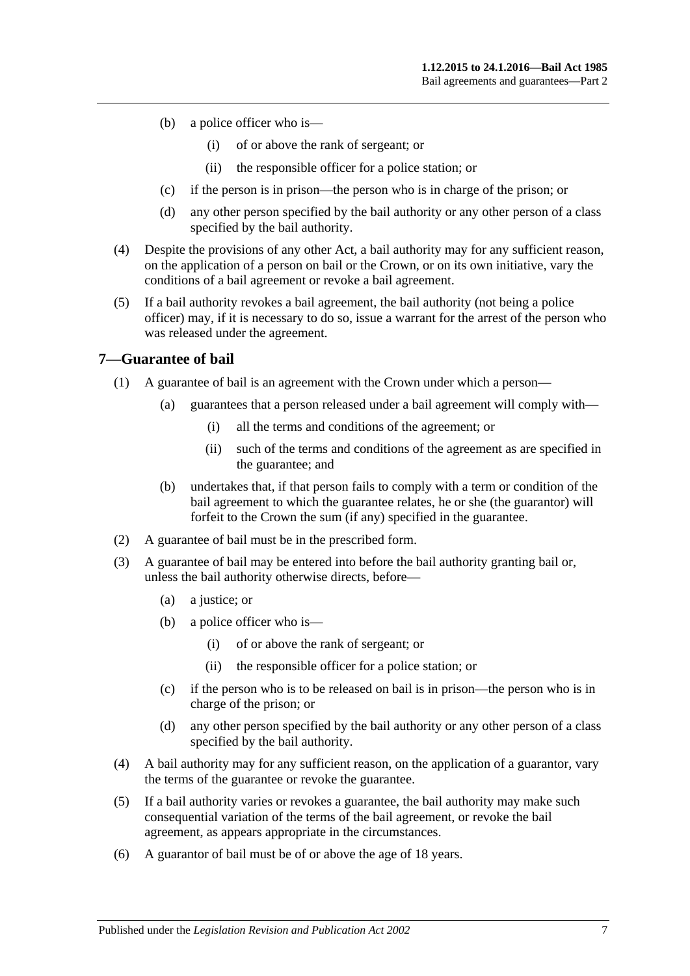- (b) a police officer who is—
	- (i) of or above the rank of sergeant; or
	- (ii) the responsible officer for a police station; or
- (c) if the person is in prison—the person who is in charge of the prison; or
- (d) any other person specified by the bail authority or any other person of a class specified by the bail authority.
- (4) Despite the provisions of any other Act, a bail authority may for any sufficient reason, on the application of a person on bail or the Crown, or on its own initiative, vary the conditions of a bail agreement or revoke a bail agreement.
- (5) If a bail authority revokes a bail agreement, the bail authority (not being a police officer) may, if it is necessary to do so, issue a warrant for the arrest of the person who was released under the agreement.

### <span id="page-6-0"></span>**7—Guarantee of bail**

- (1) A guarantee of bail is an agreement with the Crown under which a person—
	- (a) guarantees that a person released under a bail agreement will comply with—
		- (i) all the terms and conditions of the agreement; or
		- (ii) such of the terms and conditions of the agreement as are specified in the guarantee; and
	- (b) undertakes that, if that person fails to comply with a term or condition of the bail agreement to which the guarantee relates, he or she (the guarantor) will forfeit to the Crown the sum (if any) specified in the guarantee.
- (2) A guarantee of bail must be in the prescribed form.
- (3) A guarantee of bail may be entered into before the bail authority granting bail or, unless the bail authority otherwise directs, before—
	- (a) a justice; or
	- (b) a police officer who is—
		- (i) of or above the rank of sergeant; or
		- (ii) the responsible officer for a police station; or
	- (c) if the person who is to be released on bail is in prison—the person who is in charge of the prison; or
	- (d) any other person specified by the bail authority or any other person of a class specified by the bail authority.
- (4) A bail authority may for any sufficient reason, on the application of a guarantor, vary the terms of the guarantee or revoke the guarantee.
- (5) If a bail authority varies or revokes a guarantee, the bail authority may make such consequential variation of the terms of the bail agreement, or revoke the bail agreement, as appears appropriate in the circumstances.
- (6) A guarantor of bail must be of or above the age of 18 years.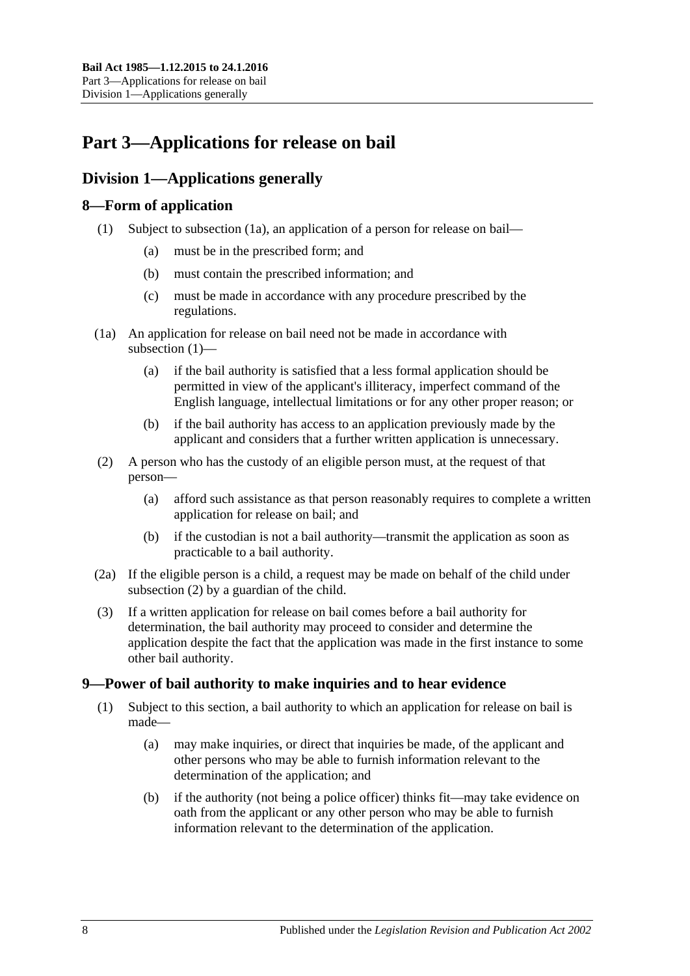# <span id="page-7-0"></span>**Part 3—Applications for release on bail**

# <span id="page-7-1"></span>**Division 1—Applications generally**

# <span id="page-7-5"></span><span id="page-7-2"></span>**8—Form of application**

- (1) Subject to [subsection](#page-7-4) (1a), an application of a person for release on bail—
	- (a) must be in the prescribed form; and
	- (b) must contain the prescribed information; and
	- (c) must be made in accordance with any procedure prescribed by the regulations.
- <span id="page-7-4"></span>(1a) An application for release on bail need not be made in accordance with [subsection](#page-7-5) (1)—
	- (a) if the bail authority is satisfied that a less formal application should be permitted in view of the applicant's illiteracy, imperfect command of the English language, intellectual limitations or for any other proper reason; or
	- (b) if the bail authority has access to an application previously made by the applicant and considers that a further written application is unnecessary.
- <span id="page-7-6"></span>(2) A person who has the custody of an eligible person must, at the request of that person—
	- (a) afford such assistance as that person reasonably requires to complete a written application for release on bail; and
	- (b) if the custodian is not a bail authority—transmit the application as soon as practicable to a bail authority.
- (2a) If the eligible person is a child, a request may be made on behalf of the child under [subsection](#page-7-6) (2) by a guardian of the child.
- (3) If a written application for release on bail comes before a bail authority for determination, the bail authority may proceed to consider and determine the application despite the fact that the application was made in the first instance to some other bail authority.

# <span id="page-7-3"></span>**9—Power of bail authority to make inquiries and to hear evidence**

- <span id="page-7-7"></span>(1) Subject to this section, a bail authority to which an application for release on bail is made—
	- (a) may make inquiries, or direct that inquiries be made, of the applicant and other persons who may be able to furnish information relevant to the determination of the application; and
	- (b) if the authority (not being a police officer) thinks fit—may take evidence on oath from the applicant or any other person who may be able to furnish information relevant to the determination of the application.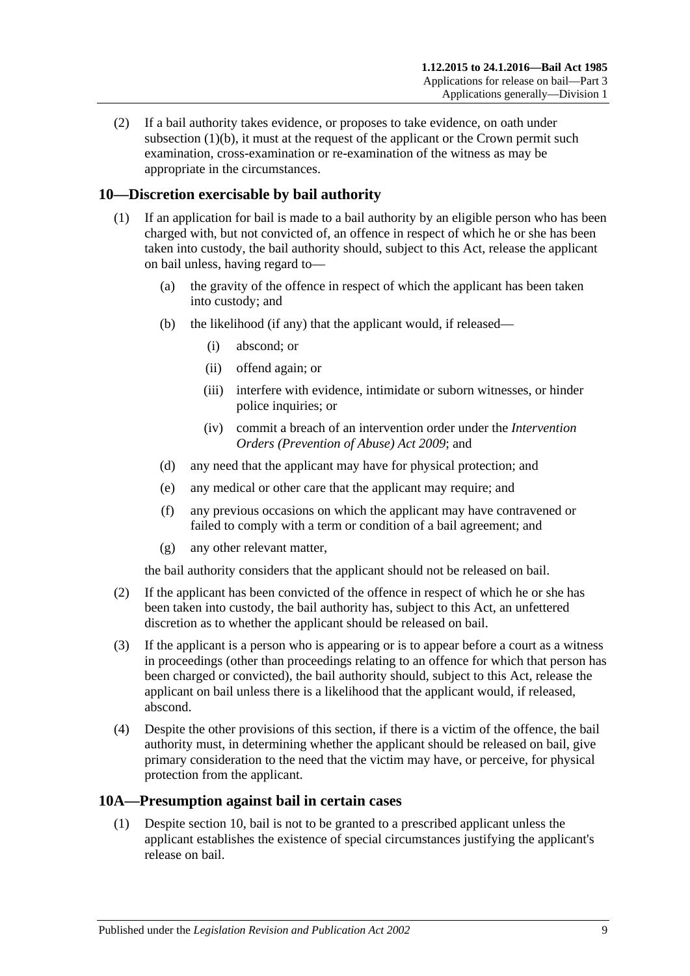(2) If a bail authority takes evidence, or proposes to take evidence, on oath under [subsection](#page-7-7)  $(1)(b)$ , it must at the request of the applicant or the Crown permit such examination, cross-examination or re-examination of the witness as may be appropriate in the circumstances.

# <span id="page-8-0"></span>**10—Discretion exercisable by bail authority**

- (1) If an application for bail is made to a bail authority by an eligible person who has been charged with, but not convicted of, an offence in respect of which he or she has been taken into custody, the bail authority should, subject to this Act, release the applicant on bail unless, having regard to—
	- (a) the gravity of the offence in respect of which the applicant has been taken into custody; and
	- (b) the likelihood (if any) that the applicant would, if released—
		- (i) abscond; or
		- (ii) offend again; or
		- (iii) interfere with evidence, intimidate or suborn witnesses, or hinder police inquiries; or
		- (iv) commit a breach of an intervention order under the *[Intervention](http://www.legislation.sa.gov.au/index.aspx?action=legref&type=act&legtitle=Intervention%20Orders%20(Prevention%20of%20Abuse)%20Act%202009)  [Orders \(Prevention of Abuse\) Act](http://www.legislation.sa.gov.au/index.aspx?action=legref&type=act&legtitle=Intervention%20Orders%20(Prevention%20of%20Abuse)%20Act%202009) 2009*; and
	- (d) any need that the applicant may have for physical protection; and
	- (e) any medical or other care that the applicant may require; and
	- (f) any previous occasions on which the applicant may have contravened or failed to comply with a term or condition of a bail agreement; and
	- (g) any other relevant matter,

the bail authority considers that the applicant should not be released on bail.

- (2) If the applicant has been convicted of the offence in respect of which he or she has been taken into custody, the bail authority has, subject to this Act, an unfettered discretion as to whether the applicant should be released on bail.
- (3) If the applicant is a person who is appearing or is to appear before a court as a witness in proceedings (other than proceedings relating to an offence for which that person has been charged or convicted), the bail authority should, subject to this Act, release the applicant on bail unless there is a likelihood that the applicant would, if released, abscond.
- (4) Despite the other provisions of this section, if there is a victim of the offence, the bail authority must, in determining whether the applicant should be released on bail, give primary consideration to the need that the victim may have, or perceive, for physical protection from the applicant.

# <span id="page-8-2"></span><span id="page-8-1"></span>**10A—Presumption against bail in certain cases**

(1) Despite [section](#page-8-0) 10, bail is not to be granted to a prescribed applicant unless the applicant establishes the existence of special circumstances justifying the applicant's release on bail.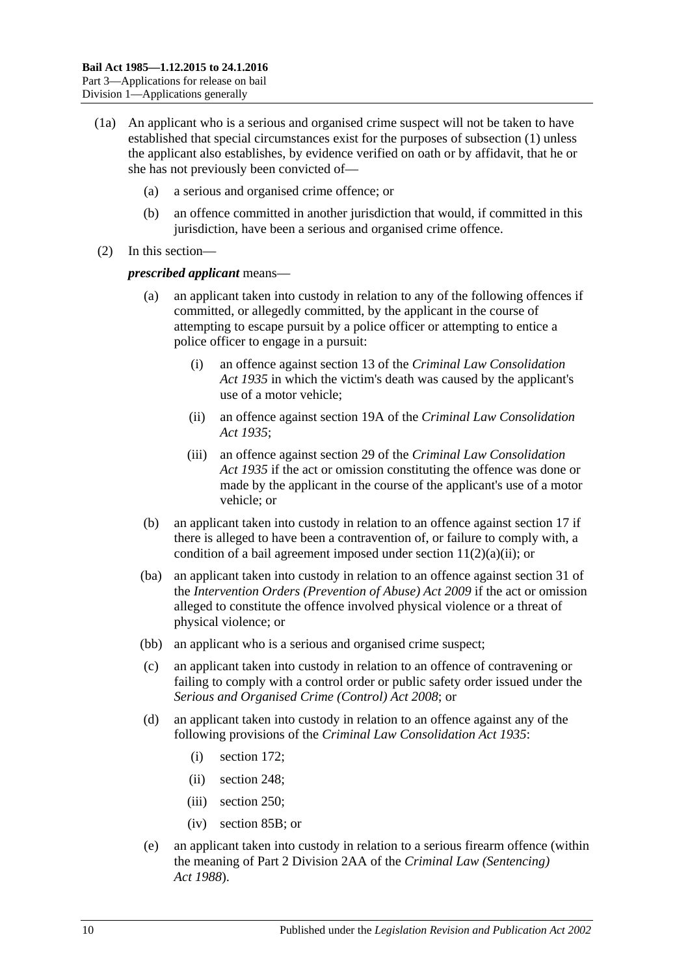- (1a) An applicant who is a serious and organised crime suspect will not be taken to have established that special circumstances exist for the purposes of [subsection](#page-8-2) (1) unless the applicant also establishes, by evidence verified on oath or by affidavit, that he or she has not previously been convicted of—
	- (a) a serious and organised crime offence; or
	- (b) an offence committed in another jurisdiction that would, if committed in this jurisdiction, have been a serious and organised crime offence.
- (2) In this section—

#### *prescribed applicant* means—

- an applicant taken into custody in relation to any of the following offences if committed, or allegedly committed, by the applicant in the course of attempting to escape pursuit by a police officer or attempting to entice a police officer to engage in a pursuit:
	- (i) an offence against section 13 of the *[Criminal Law Consolidation](http://www.legislation.sa.gov.au/index.aspx?action=legref&type=act&legtitle=Criminal%20Law%20Consolidation%20Act%201935)  Act [1935](http://www.legislation.sa.gov.au/index.aspx?action=legref&type=act&legtitle=Criminal%20Law%20Consolidation%20Act%201935)* in which the victim's death was caused by the applicant's use of a motor vehicle;
	- (ii) an offence against section 19A of the *[Criminal Law Consolidation](http://www.legislation.sa.gov.au/index.aspx?action=legref&type=act&legtitle=Criminal%20Law%20Consolidation%20Act%201935)  Act [1935](http://www.legislation.sa.gov.au/index.aspx?action=legref&type=act&legtitle=Criminal%20Law%20Consolidation%20Act%201935)*;
	- (iii) an offence against section 29 of the *[Criminal Law Consolidation](http://www.legislation.sa.gov.au/index.aspx?action=legref&type=act&legtitle=Criminal%20Law%20Consolidation%20Act%201935)  Act [1935](http://www.legislation.sa.gov.au/index.aspx?action=legref&type=act&legtitle=Criminal%20Law%20Consolidation%20Act%201935)* if the act or omission constituting the offence was done or made by the applicant in the course of the applicant's use of a motor vehicle; or
- (b) an applicant taken into custody in relation to an offence against [section](#page-18-1) 17 if there is alleged to have been a contravention of, or failure to comply with, a condition of a bail agreement imposed under section  $11(2)(a)(ii)$ ; or
- (ba) an applicant taken into custody in relation to an offence against section 31 of the *[Intervention Orders \(Prevention of Abuse\) Act](http://www.legislation.sa.gov.au/index.aspx?action=legref&type=act&legtitle=Intervention%20Orders%20(Prevention%20of%20Abuse)%20Act%202009) 2009* if the act or omission alleged to constitute the offence involved physical violence or a threat of physical violence; or
- (bb) an applicant who is a serious and organised crime suspect;
- (c) an applicant taken into custody in relation to an offence of contravening or failing to comply with a control order or public safety order issued under the *[Serious and Organised Crime \(Control\) Act](http://www.legislation.sa.gov.au/index.aspx?action=legref&type=act&legtitle=Serious%20and%20Organised%20Crime%20(Control)%20Act%202008) 2008*; or
- (d) an applicant taken into custody in relation to an offence against any of the following provisions of the *[Criminal Law Consolidation Act](http://www.legislation.sa.gov.au/index.aspx?action=legref&type=act&legtitle=Criminal%20Law%20Consolidation%20Act%201935) 1935*:
	- (i) section 172;
	- (ii) section 248;
	- (iii) section 250;
	- (iv) section 85B; or
- (e) an applicant taken into custody in relation to a serious firearm offence (within the meaning of Part 2 Division 2AA of the *[Criminal Law \(Sentencing\)](http://www.legislation.sa.gov.au/index.aspx?action=legref&type=act&legtitle=Criminal%20Law%20(Sentencing)%20Act%201988)  Act [1988](http://www.legislation.sa.gov.au/index.aspx?action=legref&type=act&legtitle=Criminal%20Law%20(Sentencing)%20Act%201988)*).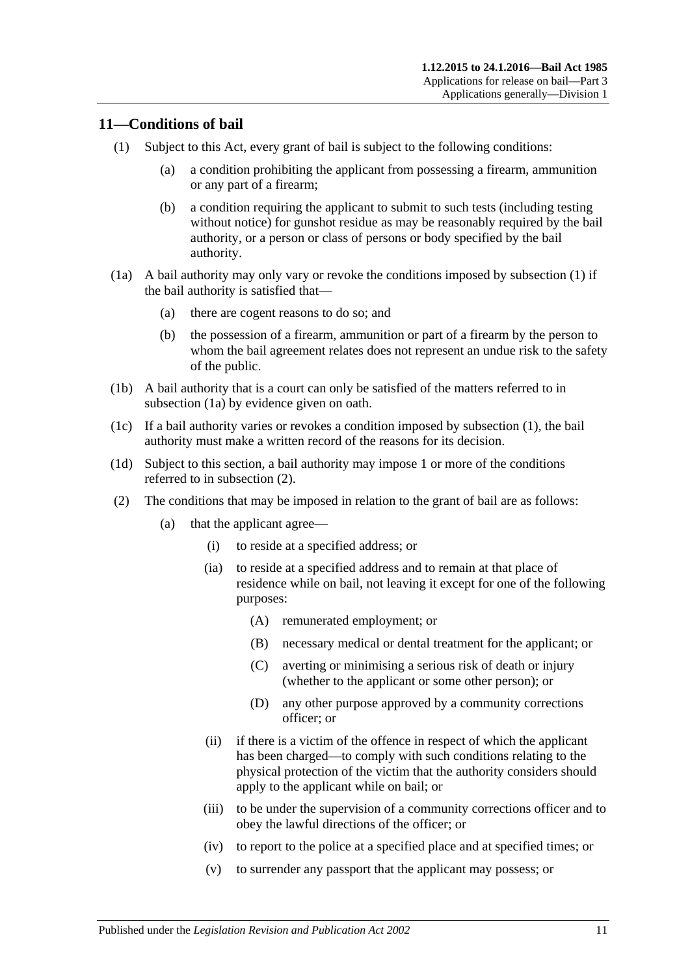# <span id="page-10-2"></span><span id="page-10-0"></span>**11—Conditions of bail**

- <span id="page-10-7"></span>(1) Subject to this Act, every grant of bail is subject to the following conditions:
	- (a) a condition prohibiting the applicant from possessing a firearm, ammunition or any part of a firearm;
	- (b) a condition requiring the applicant to submit to such tests (including testing without notice) for gunshot residue as may be reasonably required by the bail authority, or a person or class of persons or body specified by the bail authority.
- <span id="page-10-3"></span>(1a) A bail authority may only vary or revoke the conditions imposed by [subsection](#page-10-2) (1) if the bail authority is satisfied that—
	- (a) there are cogent reasons to do so; and
	- (b) the possession of a firearm, ammunition or part of a firearm by the person to whom the bail agreement relates does not represent an undue risk to the safety of the public.
- (1b) A bail authority that is a court can only be satisfied of the matters referred to in [subsection](#page-10-3) (1a) by evidence given on oath.
- (1c) If a bail authority varies or revokes a condition imposed by [subsection](#page-10-2) (1), the bail authority must make a written record of the reasons for its decision.
- (1d) Subject to this section, a bail authority may impose 1 or more of the conditions referred to in [subsection](#page-10-4) (2).
- <span id="page-10-6"></span><span id="page-10-5"></span><span id="page-10-4"></span><span id="page-10-1"></span>(2) The conditions that may be imposed in relation to the grant of bail are as follows:
	- (a) that the applicant agree—
		- (i) to reside at a specified address; or
		- (ia) to reside at a specified address and to remain at that place of residence while on bail, not leaving it except for one of the following purposes:
			- (A) remunerated employment; or
			- (B) necessary medical or dental treatment for the applicant; or
			- (C) averting or minimising a serious risk of death or injury (whether to the applicant or some other person); or
			- (D) any other purpose approved by a community corrections officer; or
		- (ii) if there is a victim of the offence in respect of which the applicant has been charged—to comply with such conditions relating to the physical protection of the victim that the authority considers should apply to the applicant while on bail; or
		- (iii) to be under the supervision of a community corrections officer and to obey the lawful directions of the officer; or
		- (iv) to report to the police at a specified place and at specified times; or
		- (v) to surrender any passport that the applicant may possess; or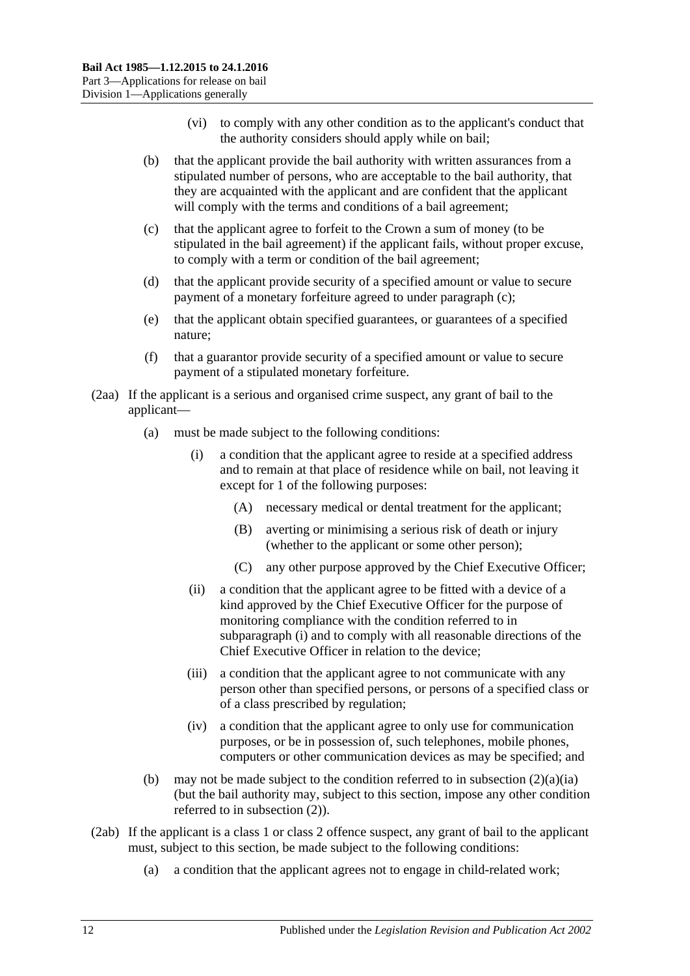- (vi) to comply with any other condition as to the applicant's conduct that the authority considers should apply while on bail;
- (b) that the applicant provide the bail authority with written assurances from a stipulated number of persons, who are acceptable to the bail authority, that they are acquainted with the applicant and are confident that the applicant will comply with the terms and conditions of a bail agreement;
- <span id="page-11-0"></span>(c) that the applicant agree to forfeit to the Crown a sum of money (to be stipulated in the bail agreement) if the applicant fails, without proper excuse, to comply with a term or condition of the bail agreement;
- (d) that the applicant provide security of a specified amount or value to secure payment of a monetary forfeiture agreed to under [paragraph](#page-11-0) (c);
- (e) that the applicant obtain specified guarantees, or guarantees of a specified nature;
- (f) that a guarantor provide security of a specified amount or value to secure payment of a stipulated monetary forfeiture.
- <span id="page-11-1"></span>(2aa) If the applicant is a serious and organised crime suspect, any grant of bail to the applicant—
	- (a) must be made subject to the following conditions:
		- (i) a condition that the applicant agree to reside at a specified address and to remain at that place of residence while on bail, not leaving it except for 1 of the following purposes:
			- (A) necessary medical or dental treatment for the applicant;
			- (B) averting or minimising a serious risk of death or injury (whether to the applicant or some other person);
			- (C) any other purpose approved by the Chief Executive Officer;
		- (ii) a condition that the applicant agree to be fitted with a device of a kind approved by the Chief Executive Officer for the purpose of monitoring compliance with the condition referred to in [subparagraph](#page-11-1) (i) and to comply with all reasonable directions of the Chief Executive Officer in relation to the device;
		- (iii) a condition that the applicant agree to not communicate with any person other than specified persons, or persons of a specified class or of a class prescribed by regulation;
		- (iv) a condition that the applicant agree to only use for communication purposes, or be in possession of, such telephones, mobile phones, computers or other communication devices as may be specified; and
	- (b) may not be made subject to the condition referred to in [subsection](#page-10-5)  $(2)(a)(ia)$ (but the bail authority may, subject to this section, impose any other condition referred to in [subsection](#page-10-4) (2)).
- <span id="page-11-2"></span>(2ab) If the applicant is a class 1 or class 2 offence suspect, any grant of bail to the applicant must, subject to this section, be made subject to the following conditions:
	- (a) a condition that the applicant agrees not to engage in child-related work;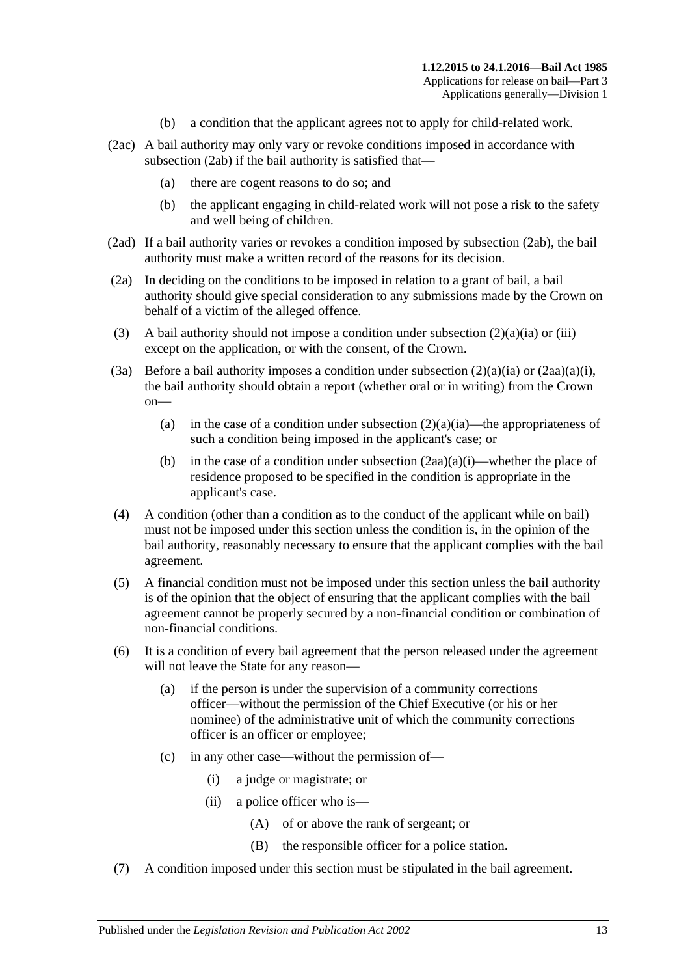- (b) a condition that the applicant agrees not to apply for child-related work.
- (2ac) A bail authority may only vary or revoke conditions imposed in accordance with [subsection](#page-11-2) (2ab) if the bail authority is satisfied that—
	- (a) there are cogent reasons to do so; and
	- (b) the applicant engaging in child-related work will not pose a risk to the safety and well being of children.
- (2ad) If a bail authority varies or revokes a condition imposed by [subsection](#page-11-2) (2ab), the bail authority must make a written record of the reasons for its decision.
- (2a) In deciding on the conditions to be imposed in relation to a grant of bail, a bail authority should give special consideration to any submissions made by the Crown on behalf of a victim of the alleged offence.
- (3) A bail authority should not impose a condition under [subsection](#page-10-5)  $(2)(a)(ia)$  or [\(iii\)](#page-10-6) except on the application, or with the consent, of the Crown.
- (3a) Before a bail authority imposes a condition under [subsection](#page-10-5)  $(2)(a)(ia)$  or  $(2aa)(a)(i)$ , the bail authority should obtain a report (whether oral or in writing) from the Crown on
	- (a) in the case of a condition under [subsection](#page-10-5)  $(2)(a)(ia)$ —the appropriateness of such a condition being imposed in the applicant's case; or
	- (b) in the case of a condition under [subsection](#page-11-1)  $(2aa)(a)(i)$ —whether the place of residence proposed to be specified in the condition is appropriate in the applicant's case.
- (4) A condition (other than a condition as to the conduct of the applicant while on bail) must not be imposed under this section unless the condition is, in the opinion of the bail authority, reasonably necessary to ensure that the applicant complies with the bail agreement.
- (5) A financial condition must not be imposed under this section unless the bail authority is of the opinion that the object of ensuring that the applicant complies with the bail agreement cannot be properly secured by a non-financial condition or combination of non-financial conditions.
- (6) It is a condition of every bail agreement that the person released under the agreement will not leave the State for any reason—
	- (a) if the person is under the supervision of a community corrections officer—without the permission of the Chief Executive (or his or her nominee) of the administrative unit of which the community corrections officer is an officer or employee;
	- (c) in any other case—without the permission of—
		- (i) a judge or magistrate; or
		- (ii) a police officer who is—
			- (A) of or above the rank of sergeant; or
			- (B) the responsible officer for a police station.
- (7) A condition imposed under this section must be stipulated in the bail agreement.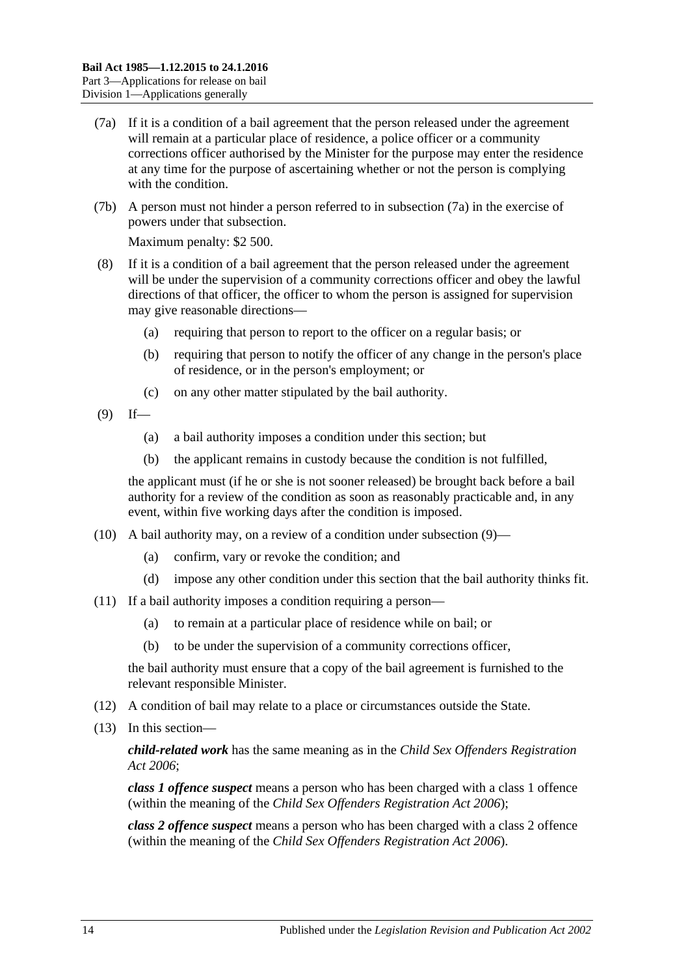- <span id="page-13-0"></span>(7a) If it is a condition of a bail agreement that the person released under the agreement will remain at a particular place of residence, a police officer or a community corrections officer authorised by the Minister for the purpose may enter the residence at any time for the purpose of ascertaining whether or not the person is complying with the condition.
- (7b) A person must not hinder a person referred to in [subsection](#page-13-0) (7a) in the exercise of powers under that subsection.

Maximum penalty: \$2 500.

- (8) If it is a condition of a bail agreement that the person released under the agreement will be under the supervision of a community corrections officer and obey the lawful directions of that officer, the officer to whom the person is assigned for supervision may give reasonable directions—
	- (a) requiring that person to report to the officer on a regular basis; or
	- (b) requiring that person to notify the officer of any change in the person's place of residence, or in the person's employment; or
	- (c) on any other matter stipulated by the bail authority.
- <span id="page-13-1"></span> $(9)$  If—
	- (a) a bail authority imposes a condition under this section; but
	- (b) the applicant remains in custody because the condition is not fulfilled,

the applicant must (if he or she is not sooner released) be brought back before a bail authority for a review of the condition as soon as reasonably practicable and, in any event, within five working days after the condition is imposed.

- (10) A bail authority may, on a review of a condition under [subsection](#page-13-1) (9)—
	- (a) confirm, vary or revoke the condition; and
	- (d) impose any other condition under this section that the bail authority thinks fit.
- (11) If a bail authority imposes a condition requiring a person—
	- (a) to remain at a particular place of residence while on bail; or
	- (b) to be under the supervision of a community corrections officer,

the bail authority must ensure that a copy of the bail agreement is furnished to the relevant responsible Minister.

- (12) A condition of bail may relate to a place or circumstances outside the State.
- (13) In this section—

*child-related work* has the same meaning as in the *[Child Sex Offenders Registration](http://www.legislation.sa.gov.au/index.aspx?action=legref&type=act&legtitle=Child%20Sex%20Offenders%20Registration%20Act%202006)  Act [2006](http://www.legislation.sa.gov.au/index.aspx?action=legref&type=act&legtitle=Child%20Sex%20Offenders%20Registration%20Act%202006)*;

*class 1 offence suspect* means a person who has been charged with a class 1 offence (within the meaning of the *[Child Sex Offenders Registration Act](http://www.legislation.sa.gov.au/index.aspx?action=legref&type=act&legtitle=Child%20Sex%20Offenders%20Registration%20Act%202006) 2006*);

*class 2 offence suspect* means a person who has been charged with a class 2 offence (within the meaning of the *[Child Sex Offenders Registration Act](http://www.legislation.sa.gov.au/index.aspx?action=legref&type=act&legtitle=Child%20Sex%20Offenders%20Registration%20Act%202006) 2006*).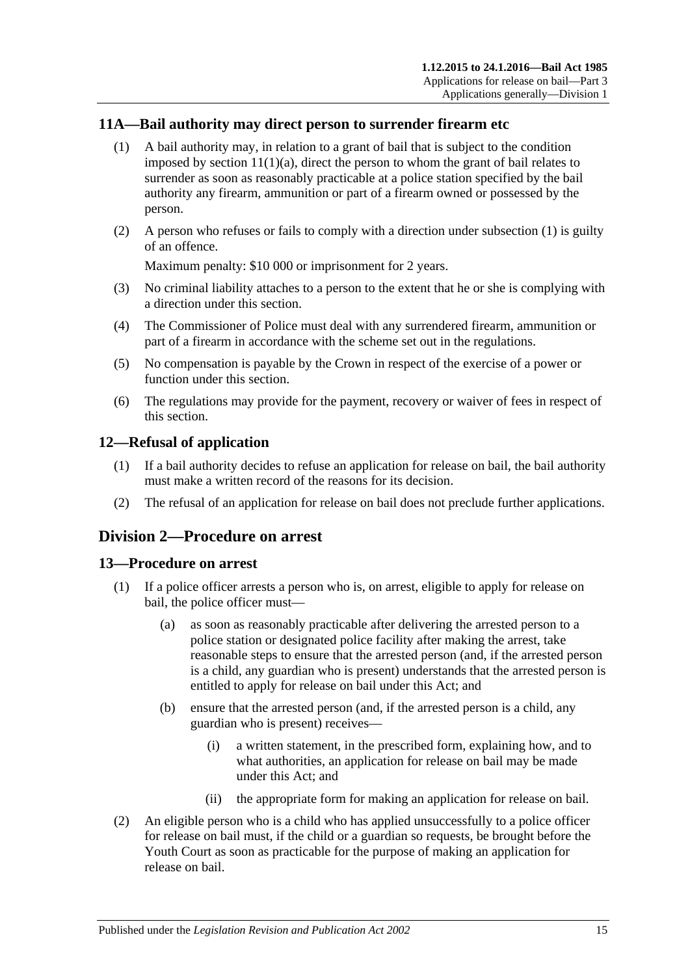# <span id="page-14-4"></span><span id="page-14-0"></span>**11A—Bail authority may direct person to surrender firearm etc**

- (1) A bail authority may, in relation to a grant of bail that is subject to the condition imposed by section  $11(1)(a)$ , direct the person to whom the grant of bail relates to surrender as soon as reasonably practicable at a police station specified by the bail authority any firearm, ammunition or part of a firearm owned or possessed by the person.
- (2) A person who refuses or fails to comply with a direction under [subsection](#page-14-4) (1) is guilty of an offence.

Maximum penalty: \$10 000 or imprisonment for 2 years.

- (3) No criminal liability attaches to a person to the extent that he or she is complying with a direction under this section.
- (4) The Commissioner of Police must deal with any surrendered firearm, ammunition or part of a firearm in accordance with the scheme set out in the regulations.
- (5) No compensation is payable by the Crown in respect of the exercise of a power or function under this section.
- (6) The regulations may provide for the payment, recovery or waiver of fees in respect of this section.

# <span id="page-14-1"></span>**12—Refusal of application**

- (1) If a bail authority decides to refuse an application for release on bail, the bail authority must make a written record of the reasons for its decision.
- (2) The refusal of an application for release on bail does not preclude further applications.

# <span id="page-14-2"></span>**Division 2—Procedure on arrest**

#### <span id="page-14-3"></span>**13—Procedure on arrest**

- (1) If a police officer arrests a person who is, on arrest, eligible to apply for release on bail, the police officer must—
	- (a) as soon as reasonably practicable after delivering the arrested person to a police station or designated police facility after making the arrest, take reasonable steps to ensure that the arrested person (and, if the arrested person is a child, any guardian who is present) understands that the arrested person is entitled to apply for release on bail under this Act; and
	- (b) ensure that the arrested person (and, if the arrested person is a child, any guardian who is present) receives—
		- (i) a written statement, in the prescribed form, explaining how, and to what authorities, an application for release on bail may be made under this Act; and
		- (ii) the appropriate form for making an application for release on bail.
- (2) An eligible person who is a child who has applied unsuccessfully to a police officer for release on bail must, if the child or a guardian so requests, be brought before the Youth Court as soon as practicable for the purpose of making an application for release on bail.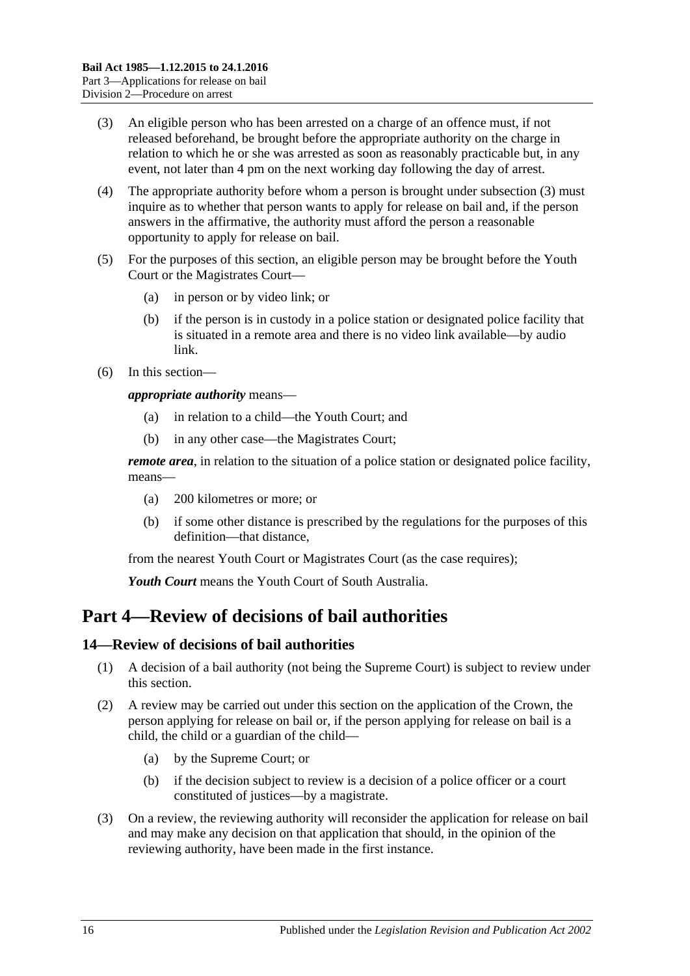- <span id="page-15-2"></span>(3) An eligible person who has been arrested on a charge of an offence must, if not released beforehand, be brought before the appropriate authority on the charge in relation to which he or she was arrested as soon as reasonably practicable but, in any event, not later than 4 pm on the next working day following the day of arrest.
- (4) The appropriate authority before whom a person is brought under [subsection](#page-15-2) (3) must inquire as to whether that person wants to apply for release on bail and, if the person answers in the affirmative, the authority must afford the person a reasonable opportunity to apply for release on bail.
- (5) For the purposes of this section, an eligible person may be brought before the Youth Court or the Magistrates Court—
	- (a) in person or by video link; or
	- (b) if the person is in custody in a police station or designated police facility that is situated in a remote area and there is no video link available—by audio link.
- (6) In this section—

*appropriate authority* means—

- (a) in relation to a child—the Youth Court; and
- (b) in any other case—the Magistrates Court;

*remote area*, in relation to the situation of a police station or designated police facility, means—

- (a) 200 kilometres or more; or
- (b) if some other distance is prescribed by the regulations for the purposes of this definition—that distance,

from the nearest Youth Court or Magistrates Court (as the case requires);

*Youth Court* means the Youth Court of South Australia.

# <span id="page-15-0"></span>**Part 4—Review of decisions of bail authorities**

# <span id="page-15-1"></span>**14—Review of decisions of bail authorities**

- (1) A decision of a bail authority (not being the Supreme Court) is subject to review under this section.
- (2) A review may be carried out under this section on the application of the Crown, the person applying for release on bail or, if the person applying for release on bail is a child, the child or a guardian of the child—
	- (a) by the Supreme Court; or
	- (b) if the decision subject to review is a decision of a police officer or a court constituted of justices—by a magistrate.
- (3) On a review, the reviewing authority will reconsider the application for release on bail and may make any decision on that application that should, in the opinion of the reviewing authority, have been made in the first instance.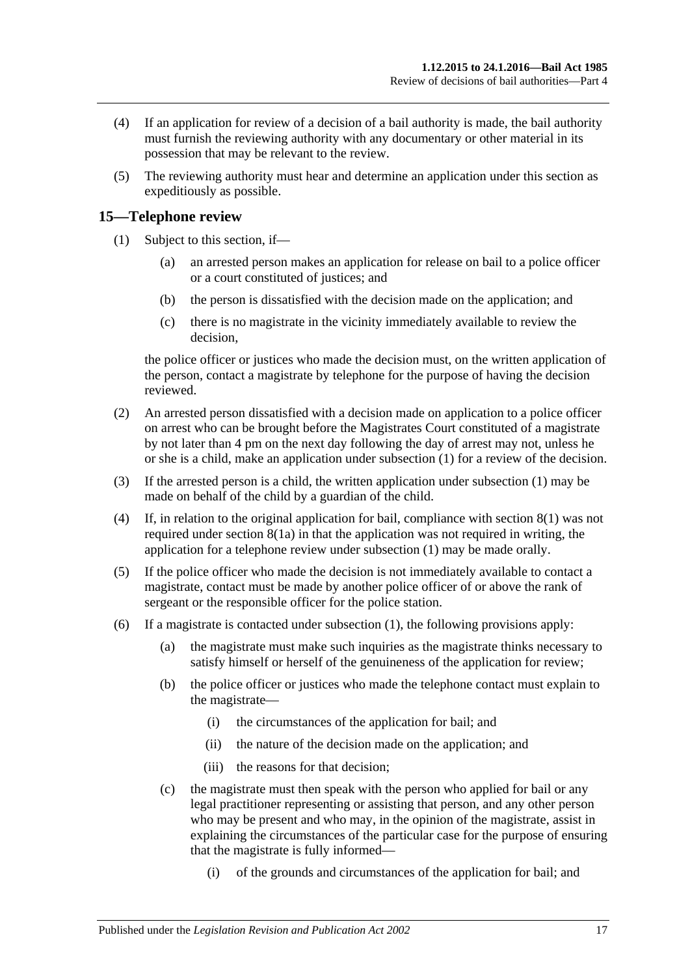- (4) If an application for review of a decision of a bail authority is made, the bail authority must furnish the reviewing authority with any documentary or other material in its possession that may be relevant to the review.
- (5) The reviewing authority must hear and determine an application under this section as expeditiously as possible.

# <span id="page-16-1"></span><span id="page-16-0"></span>**15—Telephone review**

- (1) Subject to this section, if—
	- (a) an arrested person makes an application for release on bail to a police officer or a court constituted of justices; and
	- (b) the person is dissatisfied with the decision made on the application; and
	- (c) there is no magistrate in the vicinity immediately available to review the decision,

the police officer or justices who made the decision must, on the written application of the person, contact a magistrate by telephone for the purpose of having the decision reviewed.

- <span id="page-16-2"></span>(2) An arrested person dissatisfied with a decision made on application to a police officer on arrest who can be brought before the Magistrates Court constituted of a magistrate by not later than 4 pm on the next day following the day of arrest may not, unless he or she is a child, make an application under [subsection](#page-16-1) (1) for a review of the decision.
- (3) If the arrested person is a child, the written application under [subsection](#page-16-1) (1) may be made on behalf of the child by a guardian of the child.
- (4) If, in relation to the original application for bail, compliance with [section](#page-7-5) 8(1) was not required under [section](#page-7-4) 8(1a) in that the application was not required in writing, the application for a telephone review under [subsection](#page-16-1) (1) may be made orally.
- (5) If the police officer who made the decision is not immediately available to contact a magistrate, contact must be made by another police officer of or above the rank of sergeant or the responsible officer for the police station.
- (6) If a magistrate is contacted under [subsection](#page-16-1) (1), the following provisions apply:
	- (a) the magistrate must make such inquiries as the magistrate thinks necessary to satisfy himself or herself of the genuineness of the application for review;
	- (b) the police officer or justices who made the telephone contact must explain to the magistrate—
		- (i) the circumstances of the application for bail; and
		- (ii) the nature of the decision made on the application; and
		- (iii) the reasons for that decision;
	- (c) the magistrate must then speak with the person who applied for bail or any legal practitioner representing or assisting that person, and any other person who may be present and who may, in the opinion of the magistrate, assist in explaining the circumstances of the particular case for the purpose of ensuring that the magistrate is fully informed—
		- (i) of the grounds and circumstances of the application for bail; and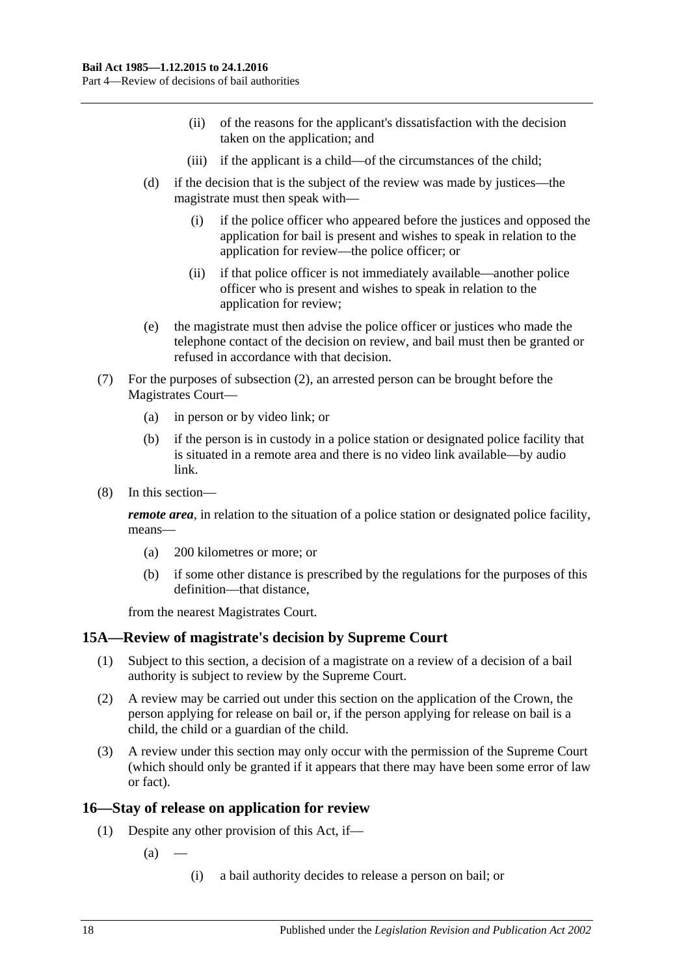- (ii) of the reasons for the applicant's dissatisfaction with the decision taken on the application; and
- (iii) if the applicant is a child—of the circumstances of the child;
- (d) if the decision that is the subject of the review was made by justices—the magistrate must then speak with—
	- (i) if the police officer who appeared before the justices and opposed the application for bail is present and wishes to speak in relation to the application for review—the police officer; or
	- (ii) if that police officer is not immediately available—another police officer who is present and wishes to speak in relation to the application for review;
- (e) the magistrate must then advise the police officer or justices who made the telephone contact of the decision on review, and bail must then be granted or refused in accordance with that decision.
- (7) For the purposes of [subsection](#page-16-2) (2), an arrested person can be brought before the Magistrates Court—
	- (a) in person or by video link; or
	- (b) if the person is in custody in a police station or designated police facility that is situated in a remote area and there is no video link available—by audio link.
- (8) In this section—

*remote area*, in relation to the situation of a police station or designated police facility, means—

- (a) 200 kilometres or more; or
- (b) if some other distance is prescribed by the regulations for the purposes of this definition—that distance,

from the nearest Magistrates Court.

# <span id="page-17-0"></span>**15A—Review of magistrate's decision by Supreme Court**

- (1) Subject to this section, a decision of a magistrate on a review of a decision of a bail authority is subject to review by the Supreme Court.
- (2) A review may be carried out under this section on the application of the Crown, the person applying for release on bail or, if the person applying for release on bail is a child, the child or a guardian of the child.
- (3) A review under this section may only occur with the permission of the Supreme Court (which should only be granted if it appears that there may have been some error of law or fact).

# <span id="page-17-1"></span>**16—Stay of release on application for review**

- (1) Despite any other provision of this Act, if—
	- $(a)$ 
		- (i) a bail authority decides to release a person on bail; or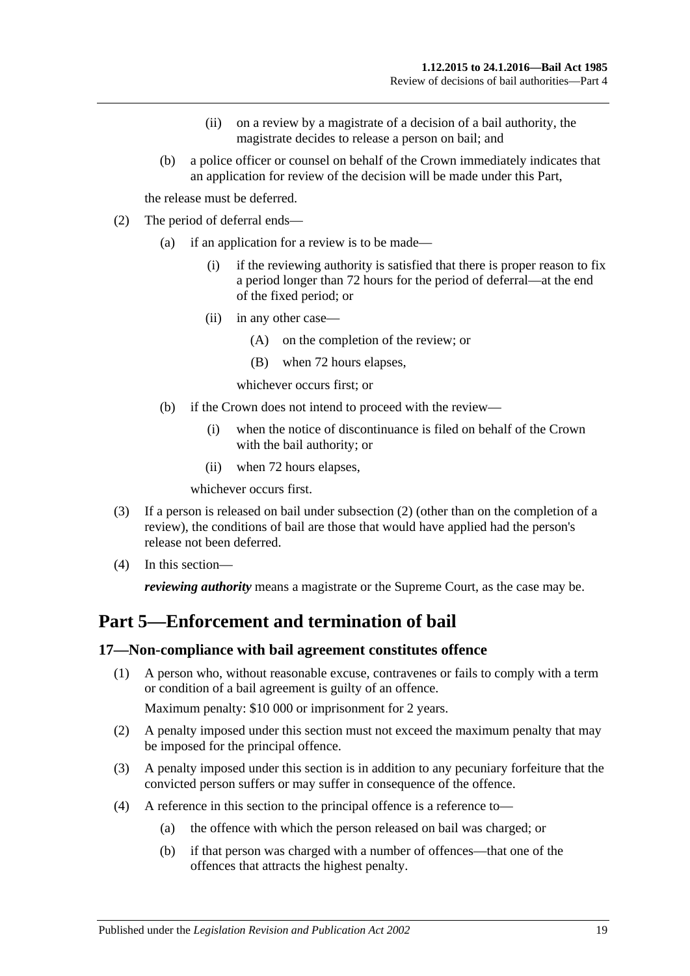- (ii) on a review by a magistrate of a decision of a bail authority, the magistrate decides to release a person on bail; and
- (b) a police officer or counsel on behalf of the Crown immediately indicates that an application for review of the decision will be made under this Part,

the release must be deferred.

- <span id="page-18-2"></span>(2) The period of deferral ends—
	- (a) if an application for a review is to be made—
		- (i) if the reviewing authority is satisfied that there is proper reason to fix a period longer than 72 hours for the period of deferral—at the end of the fixed period; or
		- (ii) in any other case—
			- (A) on the completion of the review; or
			- (B) when 72 hours elapses,

whichever occurs first; or

- (b) if the Crown does not intend to proceed with the review—
	- (i) when the notice of discontinuance is filed on behalf of the Crown with the bail authority; or
	- (ii) when 72 hours elapses,

whichever occurs first.

- (3) If a person is released on bail under [subsection](#page-18-2) (2) (other than on the completion of a review), the conditions of bail are those that would have applied had the person's release not been deferred.
- (4) In this section—

*reviewing authority* means a magistrate or the Supreme Court, as the case may be.

# <span id="page-18-0"></span>**Part 5—Enforcement and termination of bail**

#### <span id="page-18-1"></span>**17—Non-compliance with bail agreement constitutes offence**

(1) A person who, without reasonable excuse, contravenes or fails to comply with a term or condition of a bail agreement is guilty of an offence.

Maximum penalty: \$10 000 or imprisonment for 2 years.

- (2) A penalty imposed under this section must not exceed the maximum penalty that may be imposed for the principal offence.
- (3) A penalty imposed under this section is in addition to any pecuniary forfeiture that the convicted person suffers or may suffer in consequence of the offence.
- (4) A reference in this section to the principal offence is a reference to—
	- (a) the offence with which the person released on bail was charged; or
	- (b) if that person was charged with a number of offences—that one of the offences that attracts the highest penalty.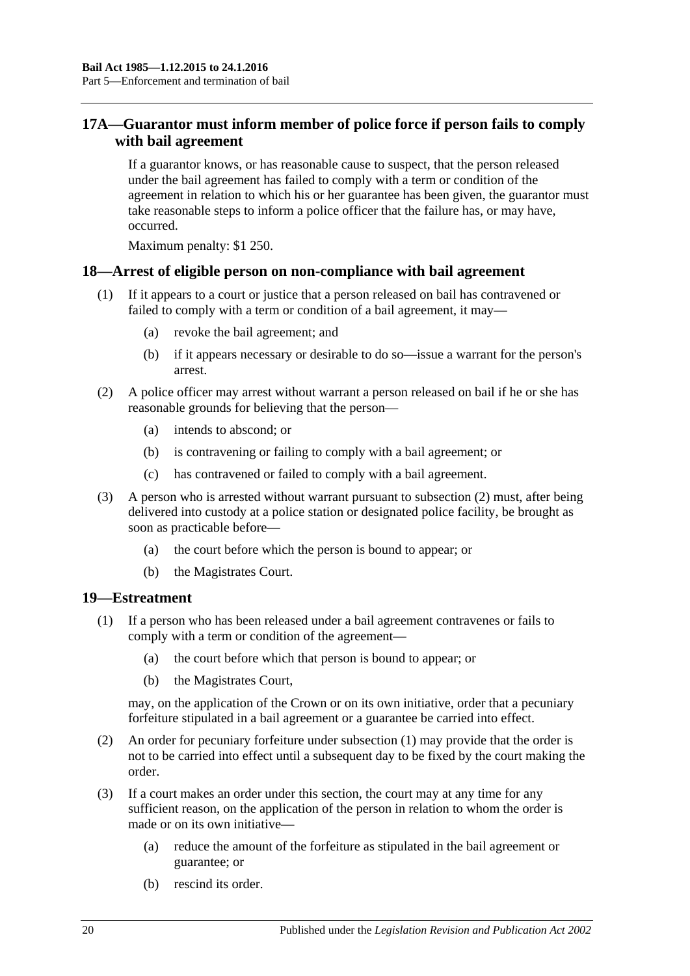# <span id="page-19-0"></span>**17A—Guarantor must inform member of police force if person fails to comply with bail agreement**

If a guarantor knows, or has reasonable cause to suspect, that the person released under the bail agreement has failed to comply with a term or condition of the agreement in relation to which his or her guarantee has been given, the guarantor must take reasonable steps to inform a police officer that the failure has, or may have, occurred.

Maximum penalty: \$1 250.

### <span id="page-19-1"></span>**18—Arrest of eligible person on non-compliance with bail agreement**

- (1) If it appears to a court or justice that a person released on bail has contravened or failed to comply with a term or condition of a bail agreement, it may—
	- (a) revoke the bail agreement; and
	- (b) if it appears necessary or desirable to do so—issue a warrant for the person's arrest.
- <span id="page-19-3"></span>(2) A police officer may arrest without warrant a person released on bail if he or she has reasonable grounds for believing that the person—
	- (a) intends to abscond; or
	- (b) is contravening or failing to comply with a bail agreement; or
	- (c) has contravened or failed to comply with a bail agreement.
- (3) A person who is arrested without warrant pursuant to [subsection](#page-19-3) (2) must, after being delivered into custody at a police station or designated police facility, be brought as soon as practicable before—
	- (a) the court before which the person is bound to appear; or
	- (b) the Magistrates Court.

#### <span id="page-19-4"></span><span id="page-19-2"></span>**19—Estreatment**

- (1) If a person who has been released under a bail agreement contravenes or fails to comply with a term or condition of the agreement—
	- (a) the court before which that person is bound to appear; or
	- (b) the Magistrates Court,

may, on the application of the Crown or on its own initiative, order that a pecuniary forfeiture stipulated in a bail agreement or a guarantee be carried into effect.

- (2) An order for pecuniary forfeiture under [subsection](#page-19-4) (1) may provide that the order is not to be carried into effect until a subsequent day to be fixed by the court making the order.
- (3) If a court makes an order under this section, the court may at any time for any sufficient reason, on the application of the person in relation to whom the order is made or on its own initiative—
	- (a) reduce the amount of the forfeiture as stipulated in the bail agreement or guarantee; or
	- (b) rescind its order.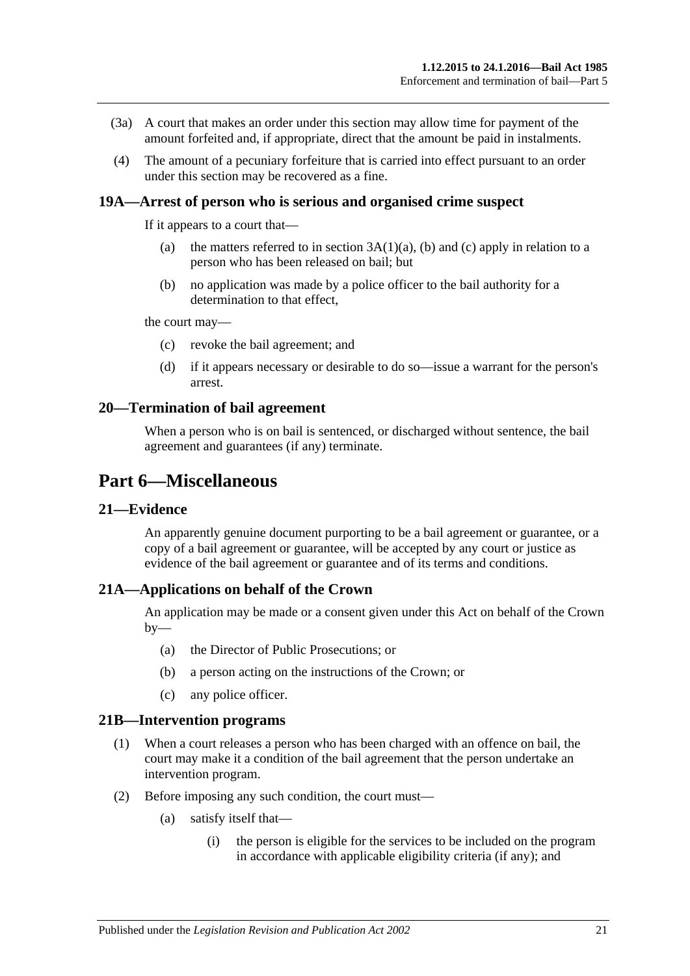- (3a) A court that makes an order under this section may allow time for payment of the amount forfeited and, if appropriate, direct that the amount be paid in instalments.
- (4) The amount of a pecuniary forfeiture that is carried into effect pursuant to an order under this section may be recovered as a fine.

#### <span id="page-20-0"></span>**19A—Arrest of person who is serious and organised crime suspect**

If it appears to a court that—

- (a) the matters referred to in section  $3A(1)(a)$ , [\(b\)](#page-3-5) and [\(c\)](#page-3-6) apply in relation to a person who has been released on bail; but
- (b) no application was made by a police officer to the bail authority for a determination to that effect,

the court may—

- (c) revoke the bail agreement; and
- (d) if it appears necessary or desirable to do so—issue a warrant for the person's arrest.

#### <span id="page-20-1"></span>**20—Termination of bail agreement**

When a person who is on bail is sentenced, or discharged without sentence, the bail agreement and guarantees (if any) terminate.

# <span id="page-20-2"></span>**Part 6—Miscellaneous**

#### <span id="page-20-3"></span>**21—Evidence**

An apparently genuine document purporting to be a bail agreement or guarantee, or a copy of a bail agreement or guarantee, will be accepted by any court or justice as evidence of the bail agreement or guarantee and of its terms and conditions.

### <span id="page-20-4"></span>**21A—Applications on behalf of the Crown**

An application may be made or a consent given under this Act on behalf of the Crown  $by-$ 

- (a) the Director of Public Prosecutions; or
- (b) a person acting on the instructions of the Crown; or
- (c) any police officer.

#### <span id="page-20-5"></span>**21B—Intervention programs**

- (1) When a court releases a person who has been charged with an offence on bail, the court may make it a condition of the bail agreement that the person undertake an intervention program.
- (2) Before imposing any such condition, the court must—
	- (a) satisfy itself that—
		- (i) the person is eligible for the services to be included on the program in accordance with applicable eligibility criteria (if any); and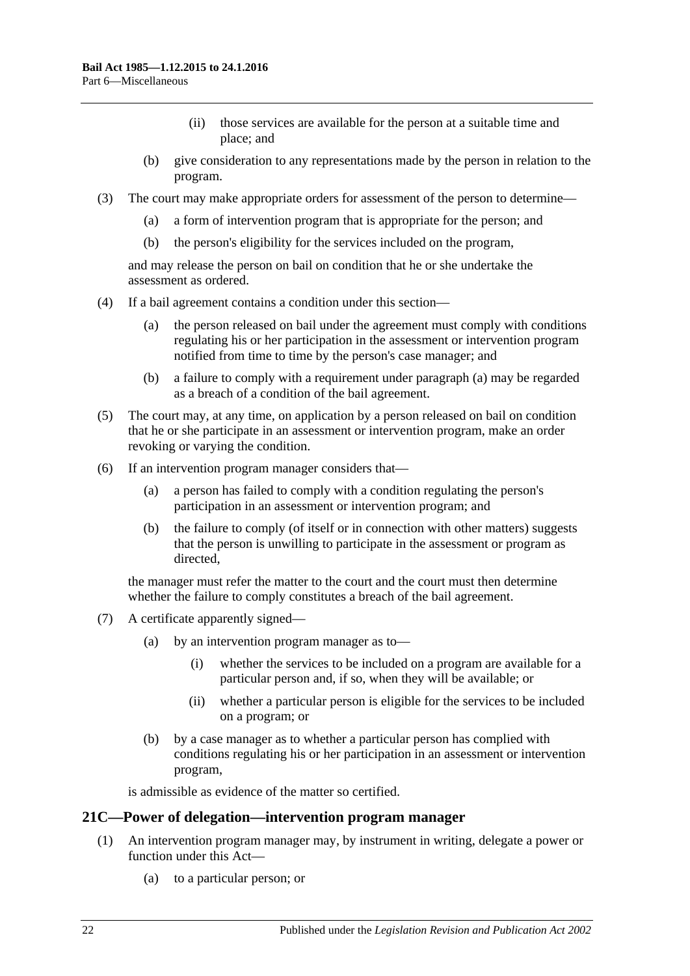- (ii) those services are available for the person at a suitable time and place; and
- (b) give consideration to any representations made by the person in relation to the program.
- (3) The court may make appropriate orders for assessment of the person to determine—
	- (a) a form of intervention program that is appropriate for the person; and
	- (b) the person's eligibility for the services included on the program,

and may release the person on bail on condition that he or she undertake the assessment as ordered.

- <span id="page-21-1"></span>(4) If a bail agreement contains a condition under this section—
	- (a) the person released on bail under the agreement must comply with conditions regulating his or her participation in the assessment or intervention program notified from time to time by the person's case manager; and
	- (b) a failure to comply with a requirement under [paragraph](#page-21-1) (a) may be regarded as a breach of a condition of the bail agreement.
- (5) The court may, at any time, on application by a person released on bail on condition that he or she participate in an assessment or intervention program, make an order revoking or varying the condition.
- (6) If an intervention program manager considers that—
	- (a) a person has failed to comply with a condition regulating the person's participation in an assessment or intervention program; and
	- (b) the failure to comply (of itself or in connection with other matters) suggests that the person is unwilling to participate in the assessment or program as directed,

the manager must refer the matter to the court and the court must then determine whether the failure to comply constitutes a breach of the bail agreement.

- (7) A certificate apparently signed—
	- (a) by an intervention program manager as to—
		- (i) whether the services to be included on a program are available for a particular person and, if so, when they will be available; or
		- (ii) whether a particular person is eligible for the services to be included on a program; or
	- (b) by a case manager as to whether a particular person has complied with conditions regulating his or her participation in an assessment or intervention program,

is admissible as evidence of the matter so certified.

#### <span id="page-21-0"></span>**21C—Power of delegation—intervention program manager**

- (1) An intervention program manager may, by instrument in writing, delegate a power or function under this Act—
	- (a) to a particular person; or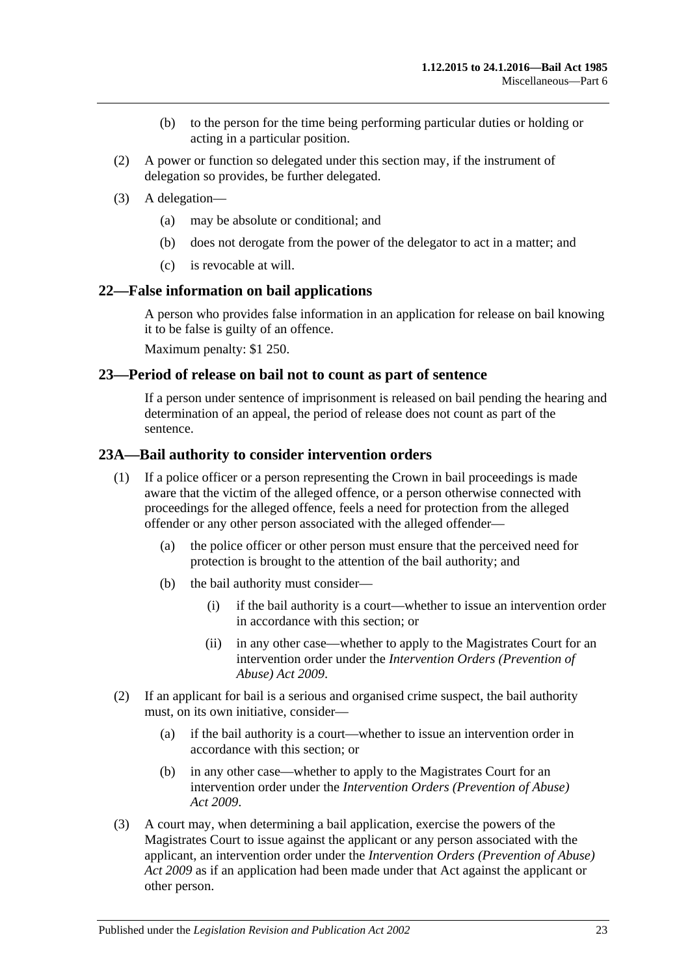- (b) to the person for the time being performing particular duties or holding or acting in a particular position.
- (2) A power or function so delegated under this section may, if the instrument of delegation so provides, be further delegated.
- (3) A delegation—
	- (a) may be absolute or conditional; and
	- (b) does not derogate from the power of the delegator to act in a matter; and
	- (c) is revocable at will.

#### <span id="page-22-0"></span>**22—False information on bail applications**

A person who provides false information in an application for release on bail knowing it to be false is guilty of an offence.

Maximum penalty: \$1 250.

#### <span id="page-22-1"></span>**23—Period of release on bail not to count as part of sentence**

If a person under sentence of imprisonment is released on bail pending the hearing and determination of an appeal, the period of release does not count as part of the sentence.

#### <span id="page-22-2"></span>**23A—Bail authority to consider intervention orders**

- (1) If a police officer or a person representing the Crown in bail proceedings is made aware that the victim of the alleged offence, or a person otherwise connected with proceedings for the alleged offence, feels a need for protection from the alleged offender or any other person associated with the alleged offender—
	- (a) the police officer or other person must ensure that the perceived need for protection is brought to the attention of the bail authority; and
	- (b) the bail authority must consider—
		- (i) if the bail authority is a court—whether to issue an intervention order in accordance with this section; or
		- (ii) in any other case—whether to apply to the Magistrates Court for an intervention order under the *[Intervention Orders \(Prevention of](http://www.legislation.sa.gov.au/index.aspx?action=legref&type=act&legtitle=Intervention%20Orders%20(Prevention%20of%20Abuse)%20Act%202009)  [Abuse\) Act](http://www.legislation.sa.gov.au/index.aspx?action=legref&type=act&legtitle=Intervention%20Orders%20(Prevention%20of%20Abuse)%20Act%202009) 2009*.
- (2) If an applicant for bail is a serious and organised crime suspect, the bail authority must, on its own initiative, consider—
	- (a) if the bail authority is a court—whether to issue an intervention order in accordance with this section; or
	- (b) in any other case—whether to apply to the Magistrates Court for an intervention order under the *[Intervention Orders \(Prevention of Abuse\)](http://www.legislation.sa.gov.au/index.aspx?action=legref&type=act&legtitle=Intervention%20Orders%20(Prevention%20of%20Abuse)%20Act%202009)  Act [2009](http://www.legislation.sa.gov.au/index.aspx?action=legref&type=act&legtitle=Intervention%20Orders%20(Prevention%20of%20Abuse)%20Act%202009)*.
- (3) A court may, when determining a bail application, exercise the powers of the Magistrates Court to issue against the applicant or any person associated with the applicant, an intervention order under the *[Intervention Orders \(Prevention of Abuse\)](http://www.legislation.sa.gov.au/index.aspx?action=legref&type=act&legtitle=Intervention%20Orders%20(Prevention%20of%20Abuse)%20Act%202009)  Act [2009](http://www.legislation.sa.gov.au/index.aspx?action=legref&type=act&legtitle=Intervention%20Orders%20(Prevention%20of%20Abuse)%20Act%202009)* as if an application had been made under that Act against the applicant or other person.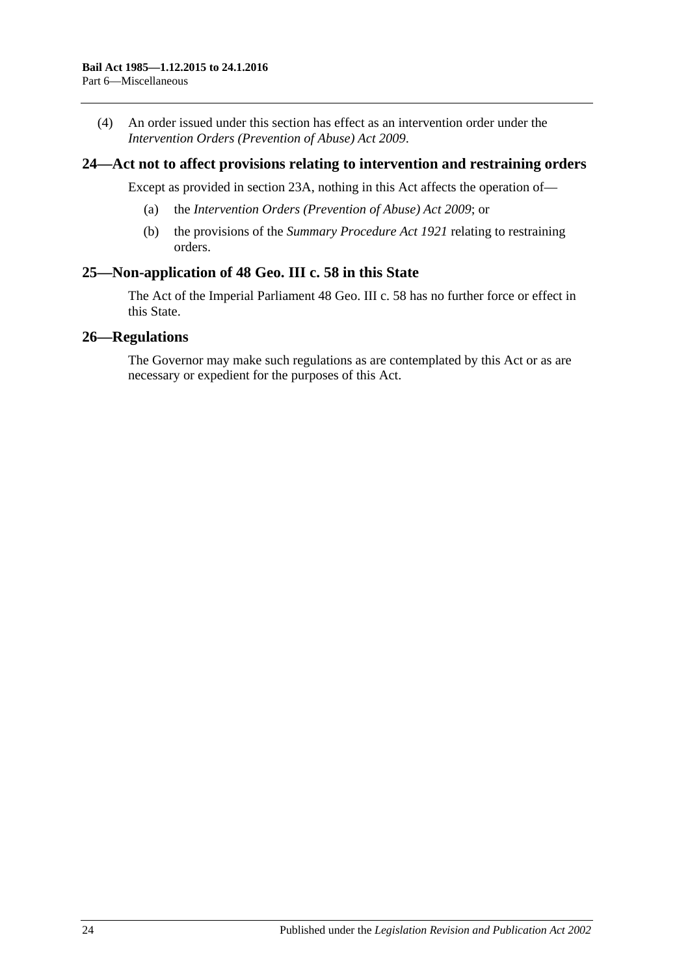(4) An order issued under this section has effect as an intervention order under the *[Intervention Orders \(Prevention of Abuse\) Act](http://www.legislation.sa.gov.au/index.aspx?action=legref&type=act&legtitle=Intervention%20Orders%20(Prevention%20of%20Abuse)%20Act%202009) 2009*.

## <span id="page-23-0"></span>**24—Act not to affect provisions relating to intervention and restraining orders**

Except as provided in [section](#page-22-2) 23A, nothing in this Act affects the operation of—

- (a) the *[Intervention Orders \(Prevention of Abuse\) Act](http://www.legislation.sa.gov.au/index.aspx?action=legref&type=act&legtitle=Intervention%20Orders%20(Prevention%20of%20Abuse)%20Act%202009) 2009*; or
- (b) the provisions of the *[Summary Procedure Act](http://www.legislation.sa.gov.au/index.aspx?action=legref&type=act&legtitle=Summary%20Procedure%20Act%201921) 1921* relating to restraining orders.

# <span id="page-23-1"></span>**25—Non-application of 48 Geo. III c. 58 in this State**

The Act of the Imperial Parliament 48 Geo. III c. 58 has no further force or effect in this State.

## <span id="page-23-2"></span>**26—Regulations**

The Governor may make such regulations as are contemplated by this Act or as are necessary or expedient for the purposes of this Act.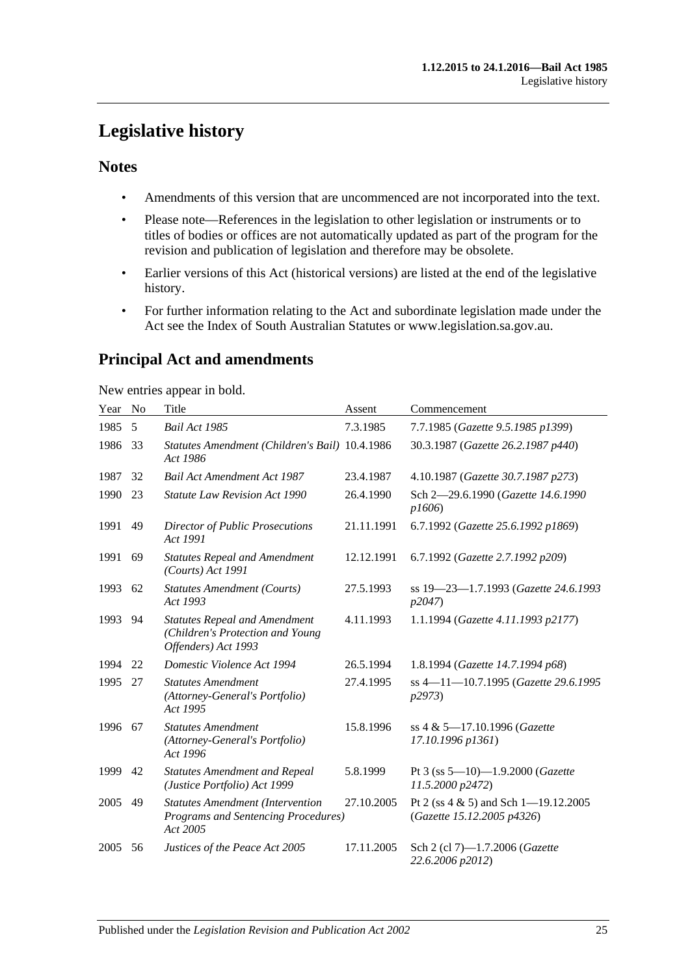# <span id="page-24-0"></span>**Legislative history**

# **Notes**

- Amendments of this version that are uncommenced are not incorporated into the text.
- Please note—References in the legislation to other legislation or instruments or to titles of bodies or offices are not automatically updated as part of the program for the revision and publication of legislation and therefore may be obsolete.
- Earlier versions of this Act (historical versions) are listed at the end of the legislative history.
- For further information relating to the Act and subordinate legislation made under the Act see the Index of South Australian Statutes or www.legislation.sa.gov.au.

# **Principal Act and amendments**

New entries appear in bold.

| Year | No | Title                                                                                           | Assent     | Commencement                                                           |
|------|----|-------------------------------------------------------------------------------------------------|------------|------------------------------------------------------------------------|
| 1985 | 5  | Bail Act 1985                                                                                   | 7.3.1985   | 7.7.1985 (Gazette 9.5.1985 p1399)                                      |
| 1986 | 33 | Statutes Amendment (Children's Bail) 10.4.1986<br>Act 1986                                      |            | 30.3.1987 (Gazette 26.2.1987 p440)                                     |
| 1987 | 32 | <b>Bail Act Amendment Act 1987</b>                                                              | 23.4.1987  | 4.10.1987 (Gazette 30.7.1987 p273)                                     |
| 1990 | 23 | <b>Statute Law Revision Act 1990</b>                                                            | 26.4.1990  | Sch 2-29.6.1990 (Gazette 14.6.1990<br>p1606                            |
| 1991 | 49 | <b>Director of Public Prosecutions</b><br>Act 1991                                              | 21.11.1991 | 6.7.1992 (Gazette 25.6.1992 p1869)                                     |
| 1991 | 69 | <b>Statutes Repeal and Amendment</b><br>(Courts) Act 1991                                       | 12.12.1991 | 6.7.1992 (Gazette 2.7.1992 p209)                                       |
| 1993 | 62 | <b>Statutes Amendment (Courts)</b><br>Act 1993                                                  | 27.5.1993  | ss 19-23-1.7.1993 (Gazette 24.6.1993<br>p2047                          |
| 1993 | 94 | <b>Statutes Repeal and Amendment</b><br>(Children's Protection and Young<br>Offenders) Act 1993 | 4.11.1993  | 1.1.1994 (Gazette 4.11.1993 p2177)                                     |
| 1994 | 22 | Domestic Violence Act 1994                                                                      | 26.5.1994  | 1.8.1994 (Gazette 14.7.1994 p68)                                       |
| 1995 | 27 | <b>Statutes Amendment</b><br>(Attorney-General's Portfolio)<br>Act 1995                         | 27.4.1995  | ss 4-11-10.7.1995 (Gazette 29.6.1995<br>p2973                          |
| 1996 | 67 | <b>Statutes Amendment</b><br>(Attorney-General's Portfolio)<br>Act 1996                         | 15.8.1996  | ss 4 & 5-17.10.1996 (Gazette<br>17.10.1996 p1361)                      |
| 1999 | 42 | <b>Statutes Amendment and Repeal</b><br>(Justice Portfolio) Act 1999                            | 5.8.1999   | Pt 3 (ss $5-10$ )-1.9.2000 (Gazette<br>11.5.2000 p2472)                |
| 2005 | 49 | <b>Statutes Amendment (Intervention</b><br>Programs and Sentencing Procedures)<br>Act 2005      | 27.10.2005 | Pt 2 (ss $4 \& 5$ ) and Sch 1-19.12.2005<br>(Gazette 15.12.2005 p4326) |
| 2005 | 56 | Justices of the Peace Act 2005                                                                  | 17.11.2005 | Sch 2 (cl 7)-1.7.2006 (Gazette<br>22.6.2006 p2012)                     |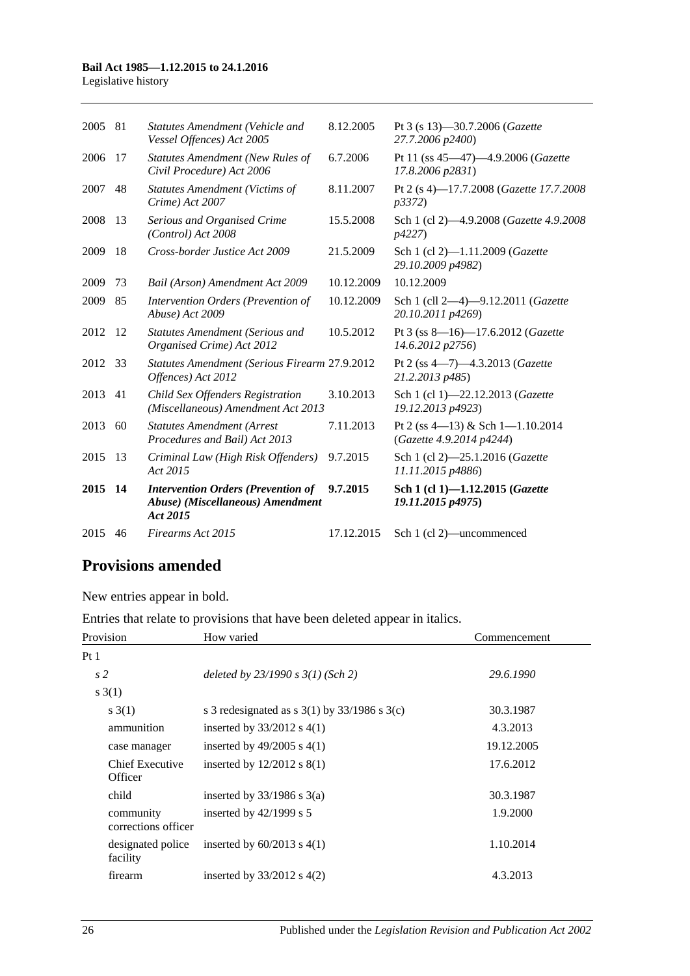#### **Bail Act 1985—1.12.2015 to 24.1.2016**

Legislative history

| 2005    | 81 | <b>Statutes Amendment (Vehicle and</b><br>Vessel Offences) Act 2005                       | 8.12.2005  | Pt 3 (s 13)–30.7.2006 ( <i>Gazette</i><br>27.7.2006 p2400)        |
|---------|----|-------------------------------------------------------------------------------------------|------------|-------------------------------------------------------------------|
| 2006    | 17 | <b>Statutes Amendment (New Rules of</b><br>Civil Procedure) Act 2006                      | 6.7.2006   | Pt 11 (ss 45-47)-4.9.2006 (Gazette<br>17.8.2006 p2831)            |
| 2007    | 48 | <b>Statutes Amendment (Victims of</b><br>Crime) Act 2007                                  | 8.11.2007  | Pt 2 (s 4)-17.7.2008 (Gazette 17.7.2008)<br><i>p</i> 3372)        |
| 2008    | 13 | Serious and Organised Crime<br>(Control) Act 2008                                         | 15.5.2008  | Sch 1 (cl 2)-4.9.2008 (Gazette 4.9.2008<br>p4227)                 |
| 2009    | 18 | Cross-border Justice Act 2009                                                             | 21.5.2009  | Sch 1 (cl 2)-1.11.2009 ( <i>Gazette</i><br>29.10.2009 p4982)      |
| 2009    | 73 | Bail (Arson) Amendment Act 2009                                                           | 10.12.2009 | 10.12.2009                                                        |
| 2009    | 85 | Intervention Orders (Prevention of<br>Abuse) Act 2009                                     | 10.12.2009 | Sch 1 (cll 2-4)-9.12.2011 (Gazette<br>20.10.2011 p4269)           |
| 2012    | 12 | <b>Statutes Amendment (Serious and</b><br>Organised Crime) Act 2012                       | 10.5.2012  | Pt 3 (ss 8-16)-17.6.2012 (Gazette<br>14.6.2012 p2756)             |
| 2012    | 33 | Statutes Amendment (Serious Firearm 27.9.2012<br>Offences) Act 2012                       |            | Pt 2 (ss 4-7)-4.3.2013 (Gazette<br>21.2.2013 p485)                |
| 2013    | 41 | Child Sex Offenders Registration<br>(Miscellaneous) Amendment Act 2013                    | 3.10.2013  | Sch 1 (cl 1)-22.12.2013 (Gazette<br>19.12.2013 p4923)             |
| 2013    | 60 | <b>Statutes Amendment (Arrest</b><br>Procedures and Bail) Act 2013                        | 7.11.2013  | Pt 2 (ss $4-13$ ) & Sch $1-1.10.2014$<br>(Gazette 4.9.2014 p4244) |
| 2015    | 13 | Criminal Law (High Risk Offenders)<br>Act 2015                                            | 9.7.2015   | Sch 1 (cl 2)-25.1.2016 (Gazette<br>11.11.2015 p4886)              |
| 2015 14 |    | <b>Intervention Orders (Prevention of</b><br>Abuse) (Miscellaneous) Amendment<br>Act 2015 | 9.7.2015   | Sch 1 (cl 1)-1.12.2015 (Gazette<br>19.11.2015 p4975)              |
| 2015    | 46 | Firearms Act 2015                                                                         | 17.12.2015 | Sch 1 (cl 2)—uncommenced                                          |
|         |    |                                                                                           |            |                                                                   |

# **Provisions amended**

New entries appear in bold.

Entries that relate to provisions that have been deleted appear in italics.

| Provision                        | How varied                                         | Commencement |
|----------------------------------|----------------------------------------------------|--------------|
| Pt 1                             |                                                    |              |
| s <sub>2</sub>                   | deleted by $23/1990 s 3(1)$ (Sch 2)                | 29.6.1990    |
| s(1)                             |                                                    |              |
| s(3(1))                          | s 3 redesignated as s $3(1)$ by $33/1986$ s $3(c)$ | 30.3.1987    |
| ammunition                       | inserted by $33/2012$ s 4(1)                       | 4.3.2013     |
| case manager                     | inserted by $49/2005$ s $4(1)$                     | 19.12.2005   |
| Chief Executive<br>Officer       | inserted by $12/2012$ s $8(1)$                     | 17.6.2012    |
| child                            | inserted by $33/1986$ s $3(a)$                     | 30.3.1987    |
| community<br>corrections officer | inserted by $42/1999$ s 5                          | 1.9.2000     |
| designated police<br>facility    | inserted by $60/2013$ s $4(1)$                     | 1.10.2014    |
| firearm                          | inserted by $33/2012$ s 4(2)                       | 4.3.2013     |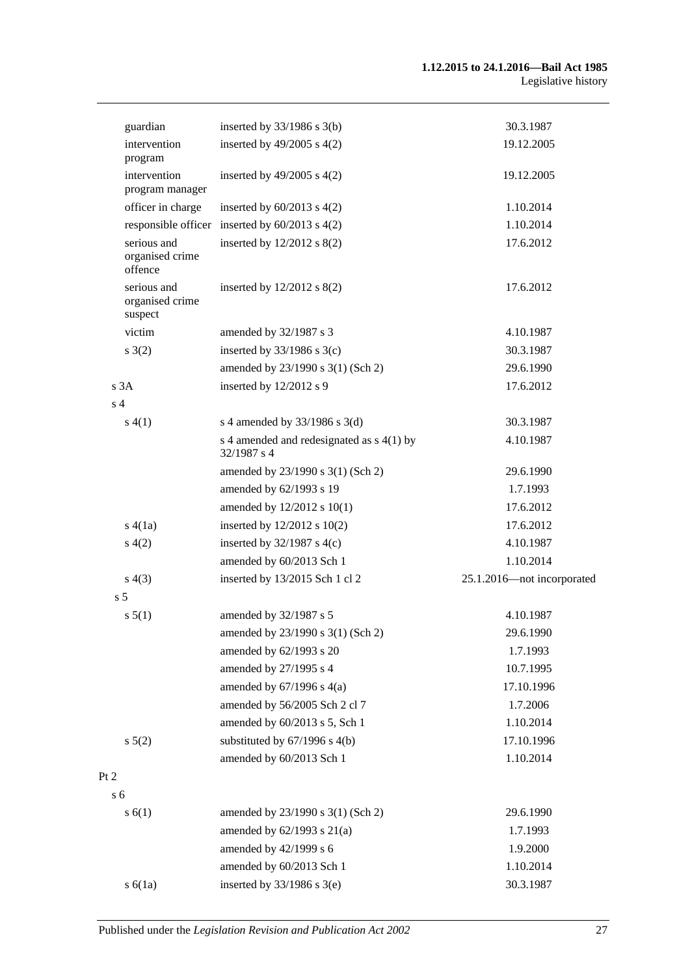| guardian                                  | inserted by $33/1986$ s $3(b)$                             | 30.3.1987                  |
|-------------------------------------------|------------------------------------------------------------|----------------------------|
| intervention<br>program                   | inserted by $49/2005$ s $4(2)$                             | 19.12.2005                 |
| intervention<br>program manager           | inserted by $49/2005$ s $4(2)$                             | 19.12.2005                 |
| officer in charge                         | inserted by $60/2013$ s $4(2)$                             | 1.10.2014                  |
|                                           | responsible officer inserted by $60/2013$ s $4(2)$         | 1.10.2014                  |
| serious and<br>organised crime<br>offence | inserted by $12/2012$ s $8(2)$                             | 17.6.2012                  |
| serious and<br>organised crime<br>suspect | inserted by $12/2012$ s $8(2)$                             | 17.6.2012                  |
| victim                                    | amended by 32/1987 s 3                                     | 4.10.1987                  |
| s(2)                                      | inserted by $33/1986$ s $3(c)$                             | 30.3.1987                  |
|                                           | amended by 23/1990 s 3(1) (Sch 2)                          | 29.6.1990                  |
| s3A                                       | inserted by 12/2012 s 9                                    | 17.6.2012                  |
| s <sub>4</sub>                            |                                                            |                            |
| s(4(1))                                   | s 4 amended by $33/1986$ s 3(d)                            | 30.3.1987                  |
|                                           | s 4 amended and redesignated as $s$ 4(1) by<br>32/1987 s 4 | 4.10.1987                  |
|                                           | amended by 23/1990 s 3(1) (Sch 2)                          | 29.6.1990                  |
|                                           | amended by 62/1993 s 19                                    | 1.7.1993                   |
|                                           | amended by 12/2012 s 10(1)                                 | 17.6.2012                  |
| s(4(1a))                                  | inserted by 12/2012 s 10(2)                                | 17.6.2012                  |
| s(4(2)                                    | inserted by $32/1987$ s 4(c)                               | 4.10.1987                  |
|                                           | amended by 60/2013 Sch 1                                   | 1.10.2014                  |
| s(4(3))                                   | inserted by 13/2015 Sch 1 cl 2                             | 25.1.2016-not incorporated |
| s <sub>5</sub>                            |                                                            |                            |
| s 5(1)                                    | amended by 32/1987 s 5                                     | 4.10.1987                  |
|                                           | amended by 23/1990 s 3(1) (Sch 2)                          | 29.6.1990                  |
|                                           | amended by 62/1993 s 20                                    | 1.7.1993                   |
|                                           | amended by 27/1995 s 4                                     | 10.7.1995                  |
|                                           | amended by $67/1996$ s $4(a)$                              | 17.10.1996                 |
|                                           | amended by 56/2005 Sch 2 cl 7                              | 1.7.2006                   |
|                                           | amended by 60/2013 s 5, Sch 1                              | 1.10.2014                  |
| s 5(2)                                    | substituted by $67/1996$ s $4(b)$                          | 17.10.1996                 |
|                                           | amended by 60/2013 Sch 1                                   | 1.10.2014                  |
| Pt 2<br>s <sub>6</sub>                    |                                                            |                            |
| s(6(1))                                   | amended by 23/1990 s 3(1) (Sch 2)                          | 29.6.1990                  |
|                                           | amended by $62/1993$ s $21(a)$                             | 1.7.1993                   |
|                                           | amended by 42/1999 s 6                                     | 1.9.2000                   |
|                                           | amended by 60/2013 Sch 1                                   | 1.10.2014                  |
| s(6(1a))                                  | inserted by $33/1986$ s $3(e)$                             | 30.3.1987                  |
|                                           |                                                            |                            |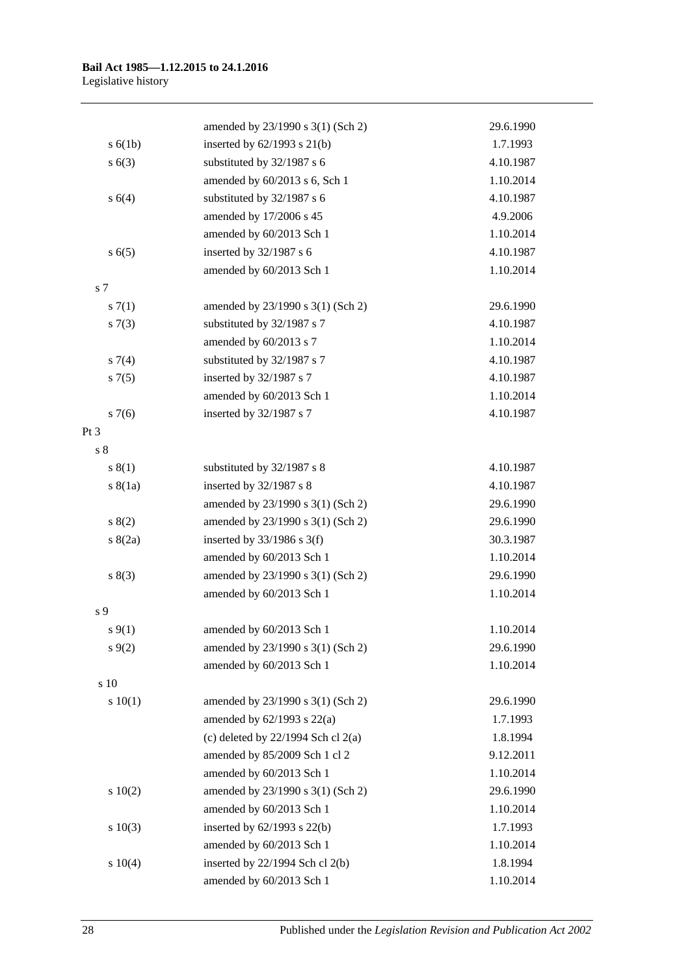|                | amended by 23/1990 s 3(1) (Sch 2)      | 29.6.1990 |
|----------------|----------------------------------------|-----------|
| s(6(1b))       | inserted by $62/1993$ s $21(b)$        | 1.7.1993  |
| s(6(3))        | substituted by 32/1987 s 6             | 4.10.1987 |
|                | amended by 60/2013 s 6, Sch 1          | 1.10.2014 |
| s 6(4)         | substituted by 32/1987 s 6             | 4.10.1987 |
|                | amended by 17/2006 s 45                | 4.9.2006  |
|                | amended by 60/2013 Sch 1               | 1.10.2014 |
| s(6(5)         | inserted by 32/1987 s 6                | 4.10.1987 |
|                | amended by 60/2013 Sch 1               | 1.10.2014 |
| s <sub>7</sub> |                                        |           |
| $s \, 7(1)$    | amended by 23/1990 s 3(1) (Sch 2)      | 29.6.1990 |
| s(7(3))        | substituted by 32/1987 s 7             | 4.10.1987 |
|                | amended by 60/2013 s 7                 | 1.10.2014 |
| $s \, 7(4)$    | substituted by 32/1987 s 7             | 4.10.1987 |
| $s \, 7(5)$    | inserted by 32/1987 s 7                | 4.10.1987 |
|                | amended by 60/2013 Sch 1               | 1.10.2014 |
| $s \, 7(6)$    | inserted by 32/1987 s 7                | 4.10.1987 |
| Pt 3           |                                        |           |
| s <sub>8</sub> |                                        |           |
| s(1)           | substituted by 32/1987 s 8             | 4.10.1987 |
| s(8(1a))       | inserted by 32/1987 s 8                | 4.10.1987 |
|                | amended by 23/1990 s 3(1) (Sch 2)      | 29.6.1990 |
| s(2)           | amended by 23/1990 s 3(1) (Sch 2)      | 29.6.1990 |
| s(2a)          | inserted by $33/1986$ s 3(f)           | 30.3.1987 |
|                | amended by 60/2013 Sch 1               | 1.10.2014 |
| s(3)           | amended by 23/1990 s 3(1) (Sch 2)      | 29.6.1990 |
|                | amended by 60/2013 Sch 1               | 1.10.2014 |
| s 9            |                                        |           |
| $s\,9(1)$      | amended by 60/2013 Sch 1               | 1.10.2014 |
| $s \, 9(2)$    | amended by 23/1990 s 3(1) (Sch 2)      | 29.6.1990 |
|                | amended by 60/2013 Sch 1               | 1.10.2014 |
| s 10           |                                        |           |
| 10(1)          | amended by 23/1990 s 3(1) (Sch 2)      | 29.6.1990 |
|                | amended by $62/1993$ s $22(a)$         | 1.7.1993  |
|                | (c) deleted by $22/1994$ Sch cl $2(a)$ | 1.8.1994  |
|                | amended by 85/2009 Sch 1 cl 2          | 9.12.2011 |
|                | amended by 60/2013 Sch 1               | 1.10.2014 |
| 10(2)          | amended by 23/1990 s 3(1) (Sch 2)      | 29.6.1990 |
|                | amended by 60/2013 Sch 1               | 1.10.2014 |
| 10(3)          | inserted by 62/1993 s 22(b)            | 1.7.1993  |
|                | amended by 60/2013 Sch 1               | 1.10.2014 |
| 10(4)          | inserted by 22/1994 Sch cl 2(b)        | 1.8.1994  |
|                | amended by 60/2013 Sch 1               | 1.10.2014 |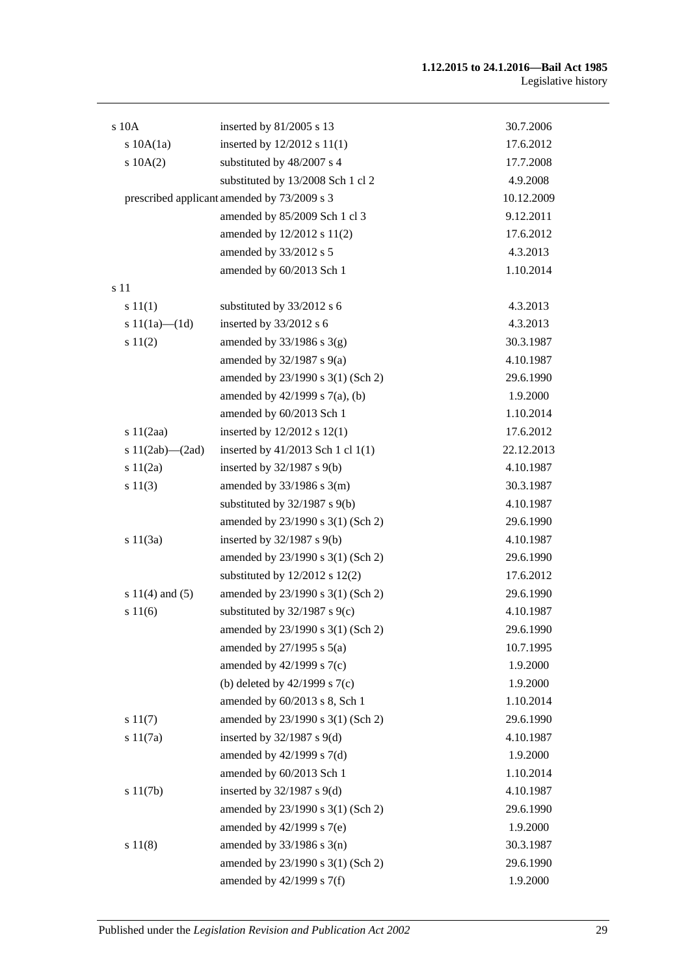| s 10A                 | inserted by 81/2005 s 13                    | 30.7.2006  |  |
|-----------------------|---------------------------------------------|------------|--|
| $s$ 10A $(1a)$        | inserted by 12/2012 s 11(1)                 | 17.6.2012  |  |
| 10A(2)                | substituted by 48/2007 s 4                  | 17.7.2008  |  |
|                       | substituted by 13/2008 Sch 1 cl 2           | 4.9.2008   |  |
|                       | prescribed applicant amended by 73/2009 s 3 | 10.12.2009 |  |
|                       | amended by 85/2009 Sch 1 cl 3               | 9.12.2011  |  |
|                       | amended by 12/2012 s 11(2)                  | 17.6.2012  |  |
|                       | amended by 33/2012 s 5                      | 4.3.2013   |  |
|                       | amended by 60/2013 Sch 1                    | 1.10.2014  |  |
| s 11                  |                                             |            |  |
| s 11(1)               | substituted by 33/2012 s 6                  | 4.3.2013   |  |
| s $11(1a)$ — $(1d)$   | inserted by 33/2012 s 6                     | 4.3.2013   |  |
| s 11(2)               | amended by $33/1986$ s $3(g)$               | 30.3.1987  |  |
|                       | amended by 32/1987 s 9(a)                   | 4.10.1987  |  |
|                       | amended by 23/1990 s 3(1) (Sch 2)           | 29.6.1990  |  |
|                       | amended by 42/1999 s 7(a), (b)              | 1.9.2000   |  |
|                       | amended by 60/2013 Sch 1                    | 1.10.2014  |  |
| s 11(2aa)             | inserted by 12/2012 s 12(1)                 | 17.6.2012  |  |
| s $11(2ab)$ — $(2ad)$ | inserted by 41/2013 Sch 1 cl 1(1)           | 22.12.2013 |  |
| s 11(2a)              | inserted by $32/1987$ s $9(b)$              | 4.10.1987  |  |
| s 11(3)               | amended by $33/1986$ s $3(m)$               | 30.3.1987  |  |
|                       | substituted by $32/1987$ s $9(b)$           | 4.10.1987  |  |
|                       | amended by 23/1990 s 3(1) (Sch 2)           | 29.6.1990  |  |
| s $11(3a)$            | inserted by $32/1987$ s $9(b)$              | 4.10.1987  |  |
|                       | amended by 23/1990 s 3(1) (Sch 2)           | 29.6.1990  |  |
|                       | substituted by $12/2012$ s $12(2)$          | 17.6.2012  |  |
| s $11(4)$ and $(5)$   | amended by 23/1990 s 3(1) (Sch 2)           | 29.6.1990  |  |
| s 11(6)               | substituted by $32/1987$ s $9(c)$           | 4.10.1987  |  |
|                       | amended by 23/1990 s 3(1) (Sch 2)           | 29.6.1990  |  |
|                       | amended by $27/1995$ s $5(a)$               | 10.7.1995  |  |
|                       | amended by 42/1999 s 7(c)                   | 1.9.2000   |  |
|                       | (b) deleted by $42/1999$ s $7(c)$           | 1.9.2000   |  |
|                       | amended by 60/2013 s 8, Sch 1               | 1.10.2014  |  |
| s 11(7)               | amended by 23/1990 s 3(1) (Sch 2)           | 29.6.1990  |  |
| s 11(7a)              | inserted by $32/1987$ s $9(d)$              | 4.10.1987  |  |
|                       | amended by 42/1999 s 7(d)                   | 1.9.2000   |  |
|                       | amended by 60/2013 Sch 1                    | 1.10.2014  |  |
| s 11(7b)              | inserted by $32/1987$ s $9(d)$              | 4.10.1987  |  |
|                       | amended by 23/1990 s 3(1) (Sch 2)           | 29.6.1990  |  |
|                       | amended by 42/1999 s 7(e)                   | 1.9.2000   |  |
| s 11(8)               | amended by $33/1986$ s $3(n)$               | 30.3.1987  |  |
|                       | amended by 23/1990 s 3(1) (Sch 2)           | 29.6.1990  |  |
|                       | amended by 42/1999 s 7(f)                   | 1.9.2000   |  |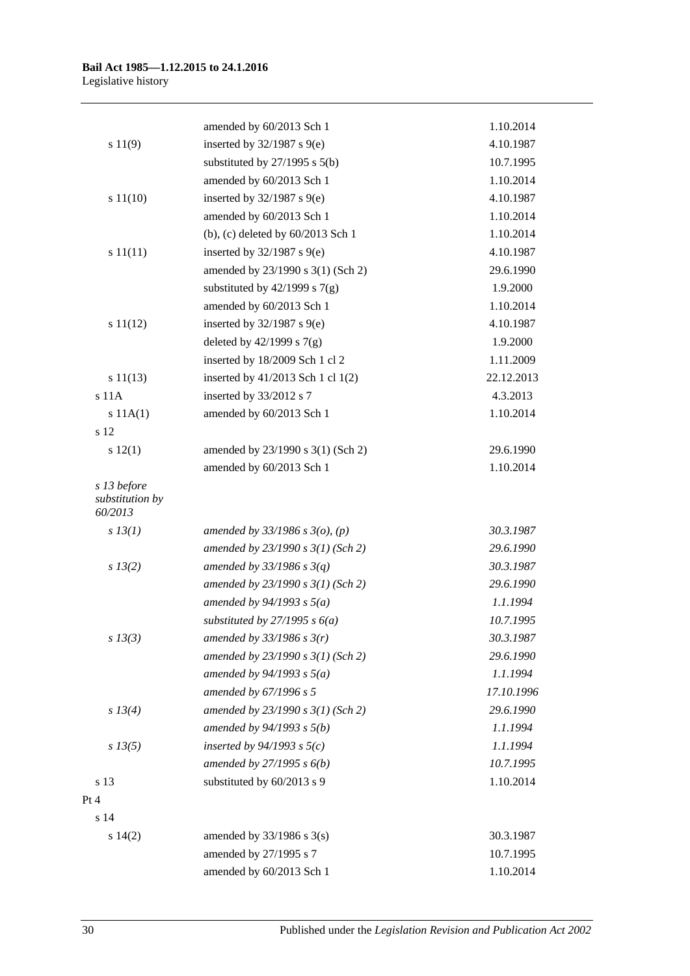|                                           | amended by 60/2013 Sch 1            | 1.10.2014  |
|-------------------------------------------|-------------------------------------|------------|
| s 11(9)                                   | inserted by $32/1987$ s $9(e)$      | 4.10.1987  |
|                                           | substituted by $27/1995$ s $5(b)$   | 10.7.1995  |
|                                           | amended by 60/2013 Sch 1            | 1.10.2014  |
| s 11(10)                                  | inserted by $32/1987$ s $9(e)$      | 4.10.1987  |
|                                           | amended by 60/2013 Sch 1            | 1.10.2014  |
|                                           | (b), (c) deleted by 60/2013 Sch 1   | 1.10.2014  |
| s 11(11)                                  | inserted by $32/1987$ s $9(e)$      | 4.10.1987  |
|                                           | amended by 23/1990 s 3(1) (Sch 2)   | 29.6.1990  |
|                                           | substituted by $42/1999$ s $7(g)$   | 1.9.2000   |
|                                           | amended by 60/2013 Sch 1            | 1.10.2014  |
| s 11(12)                                  | inserted by $32/1987$ s $9(e)$      | 4.10.1987  |
|                                           | deleted by $42/1999$ s $7(g)$       | 1.9.2000   |
|                                           | inserted by 18/2009 Sch 1 cl 2      | 1.11.2009  |
| s 11(13)                                  | inserted by 41/2013 Sch 1 cl 1(2)   | 22.12.2013 |
| s <sub>11A</sub>                          | inserted by 33/2012 s 7             | 4.3.2013   |
| s 11A(1)                                  | amended by 60/2013 Sch 1            | 1.10.2014  |
| s 12                                      |                                     |            |
| s 12(1)                                   | amended by 23/1990 s 3(1) (Sch 2)   | 29.6.1990  |
|                                           | amended by 60/2013 Sch 1            | 1.10.2014  |
| s 13 before<br>substitution by<br>60/2013 |                                     |            |
| $s$ 13(1)                                 | amended by $33/1986$ s $3(o)$ , (p) | 30.3.1987  |
|                                           | amended by $23/1990 s 3(1)$ (Sch 2) | 29.6.1990  |
| $s\,13(2)$                                | amended by $33/1986$ s $3(q)$       | 30.3.1987  |
|                                           | amended by $23/1990 s 3(1)$ (Sch 2) | 29.6.1990  |
|                                           | amended by $94/1993 s 5(a)$         | 1.1.1994   |
|                                           | substituted by $27/1995 s 6(a)$     | 10.7.1995  |
| $s\,13(3)$                                | amended by $33/1986$ s $3(r)$       | 30.3.1987  |
|                                           | amended by $23/1990 s 3(1)$ (Sch 2) | 29.6.1990  |
|                                           | amended by $94/1993$ s $5(a)$       | 1.1.1994   |
|                                           | amended by 67/1996 s 5              | 17.10.1996 |
| s 13(4)                                   | amended by 23/1990 s 3(1) (Sch 2)   | 29.6.1990  |
|                                           | amended by $94/1993 s 5(b)$         | 1.1.1994   |
| $s\,13(5)$                                | inserted by $94/1993$ s $5(c)$      | 1.1.1994   |
|                                           | amended by $27/1995 s 6(b)$         | 10.7.1995  |
| s 13                                      | substituted by 60/2013 s 9          | 1.10.2014  |
| Pt 4                                      |                                     |            |
| s 14                                      |                                     |            |
| s 14(2)                                   | amended by 33/1986 s 3(s)           | 30.3.1987  |
|                                           | amended by 27/1995 s 7              | 10.7.1995  |
|                                           | amended by 60/2013 Sch 1            | 1.10.2014  |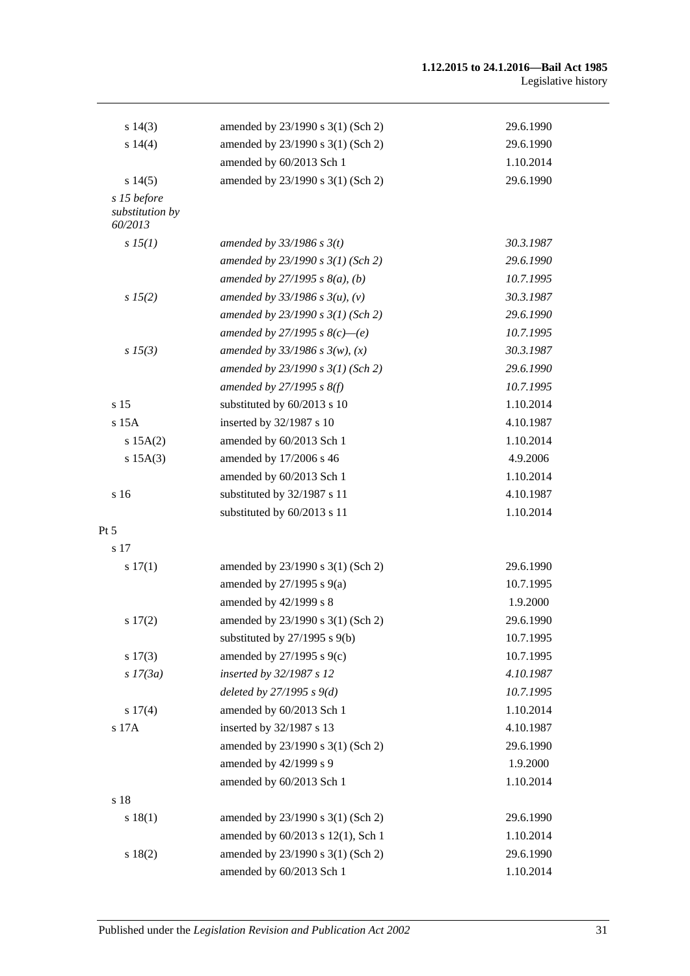#### **1.12.2015 to 24.1.2016—Bail Act 1985** Legislative history

| $s\ 14(3)$                                | amended by 23/1990 s 3(1) (Sch 2)   | 29.6.1990 |
|-------------------------------------------|-------------------------------------|-----------|
| s 14(4)                                   | amended by 23/1990 s 3(1) (Sch 2)   | 29.6.1990 |
|                                           | amended by 60/2013 Sch 1            | 1.10.2014 |
| s 14(5)                                   | amended by 23/1990 s 3(1) (Sch 2)   | 29.6.1990 |
| s 15 before<br>substitution by<br>60/2013 |                                     |           |
| s 15(1)                                   | amended by $33/1986$ s $3(t)$       | 30.3.1987 |
|                                           | amended by $23/1990 s 3(1)$ (Sch 2) | 29.6.1990 |
|                                           | amended by $27/1995 s 8(a)$ , (b)   | 10.7.1995 |
| s 15(2)                                   | amended by $33/1986$ s $3(u)$ , (v) | 30.3.1987 |
|                                           | amended by $23/1990 s 3(1)$ (Sch 2) | 29.6.1990 |
|                                           | amended by 27/1995 s $8(c)$ —(e)    | 10.7.1995 |
| $s\,15(3)$                                | amended by $33/1986 s 3(w)$ , (x)   | 30.3.1987 |
|                                           | amended by $23/1990 s 3(1)$ (Sch 2) | 29.6.1990 |
|                                           | amended by $27/1995 s 8(f)$         | 10.7.1995 |
| s <sub>15</sub>                           | substituted by 60/2013 s 10         | 1.10.2014 |
| $s$ 15 $A$                                | inserted by 32/1987 s 10            | 4.10.1987 |
| s 15A(2)                                  | amended by 60/2013 Sch 1            | 1.10.2014 |
| $s$ 15A(3)                                | amended by 17/2006 s 46             | 4.9.2006  |
|                                           | amended by 60/2013 Sch 1            | 1.10.2014 |
| s 16                                      | substituted by 32/1987 s 11         | 4.10.1987 |
|                                           | substituted by 60/2013 s 11         | 1.10.2014 |
| Pt 5                                      |                                     |           |
| s 17                                      |                                     |           |
| s 17(1)                                   | amended by 23/1990 s 3(1) (Sch 2)   | 29.6.1990 |
|                                           | amended by $27/1995$ s $9(a)$       | 10.7.1995 |
|                                           | amended by 42/1999 s 8              | 1.9.2000  |
| s 17(2)                                   | amended by 23/1990 s 3(1) (Sch 2)   | 29.6.1990 |
|                                           | substituted by $27/1995$ s $9(b)$   | 10.7.1995 |
| s 17(3)                                   | amended by $27/1995$ s $9(c)$       | 10.7.1995 |
| $s$ 17(3a)                                | inserted by 32/1987 s 12            | 4.10.1987 |
|                                           | deleted by $27/1995 s 9(d)$         | 10.7.1995 |
| s 17(4)                                   | amended by 60/2013 Sch 1            | 1.10.2014 |
| s 17A                                     | inserted by 32/1987 s 13            | 4.10.1987 |
|                                           | amended by 23/1990 s 3(1) (Sch 2)   | 29.6.1990 |
|                                           | amended by 42/1999 s 9              | 1.9.2000  |
|                                           | amended by 60/2013 Sch 1            | 1.10.2014 |
| s 18                                      |                                     |           |
| s 18(1)                                   | amended by 23/1990 s 3(1) (Sch 2)   | 29.6.1990 |
|                                           | amended by 60/2013 s 12(1), Sch 1   | 1.10.2014 |
| s 18(2)                                   | amended by 23/1990 s 3(1) (Sch 2)   | 29.6.1990 |
|                                           | amended by 60/2013 Sch 1            | 1.10.2014 |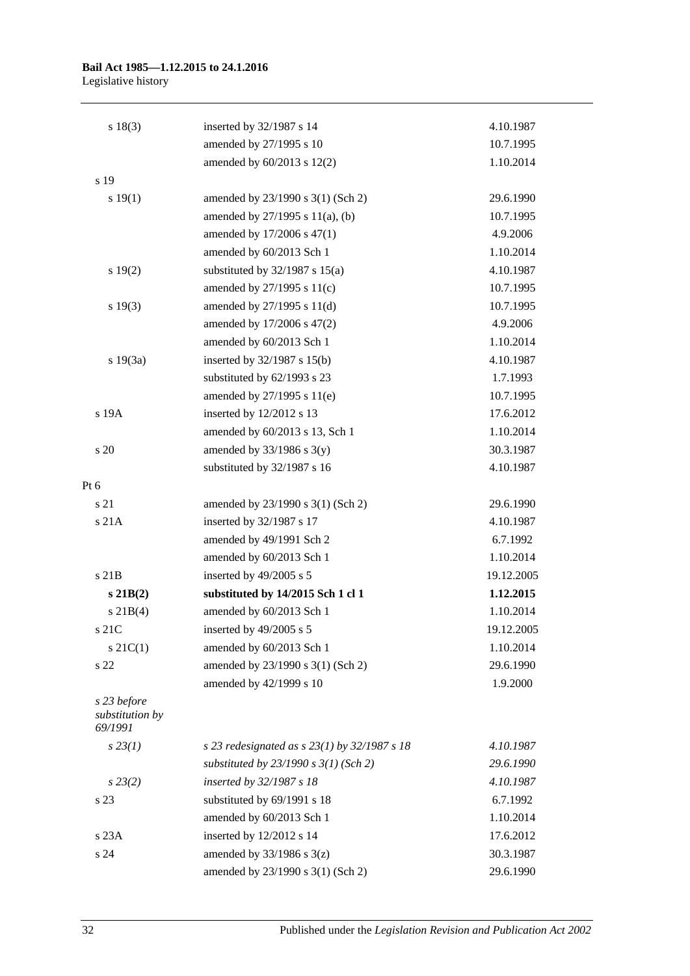#### **Bail Act 1985—1.12.2015 to 24.1.2016** Legislative history

| s 18(3)                                   | inserted by 32/1987 s 14                         | 4.10.1987  |
|-------------------------------------------|--------------------------------------------------|------------|
|                                           | amended by 27/1995 s 10                          | 10.7.1995  |
|                                           | amended by $60/2013$ s $12(2)$                   | 1.10.2014  |
| s 19                                      |                                                  |            |
| s 19(1)                                   | amended by 23/1990 s 3(1) (Sch 2)                | 29.6.1990  |
|                                           | amended by 27/1995 s 11(a), (b)                  | 10.7.1995  |
|                                           | amended by 17/2006 s 47(1)                       | 4.9.2006   |
|                                           | amended by 60/2013 Sch 1                         | 1.10.2014  |
| s 19(2)                                   | substituted by $32/1987$ s $15(a)$               | 4.10.1987  |
|                                           | amended by 27/1995 s 11(c)                       | 10.7.1995  |
| s 19(3)                                   | amended by 27/1995 s 11(d)                       | 10.7.1995  |
|                                           | amended by 17/2006 s 47(2)                       | 4.9.2006   |
|                                           | amended by 60/2013 Sch 1                         | 1.10.2014  |
| s 19(3a)                                  | inserted by 32/1987 s 15(b)                      | 4.10.1987  |
|                                           | substituted by 62/1993 s 23                      | 1.7.1993   |
|                                           | amended by 27/1995 s 11(e)                       | 10.7.1995  |
| s 19A                                     | inserted by 12/2012 s 13                         | 17.6.2012  |
|                                           | amended by 60/2013 s 13, Sch 1                   | 1.10.2014  |
| s 20                                      | amended by $33/1986$ s $3(y)$                    | 30.3.1987  |
|                                           | substituted by 32/1987 s 16                      | 4.10.1987  |
| Pt 6                                      |                                                  |            |
| s 21                                      | amended by 23/1990 s 3(1) (Sch 2)                | 29.6.1990  |
| s 21A                                     | inserted by 32/1987 s 17                         | 4.10.1987  |
|                                           | amended by 49/1991 Sch 2                         | 6.7.1992   |
|                                           | amended by 60/2013 Sch 1                         | 1.10.2014  |
| s 21B                                     | inserted by 49/2005 s 5                          | 19.12.2005 |
| $s\,21B(2)$                               | substituted by 14/2015 Sch 1 cl 1                | 1.12.2015  |
| $s \, 21B(4)$                             | amended by 60/2013 Sch 1                         | 1.10.2014  |
| s 21C                                     | inserted by 49/2005 s 5                          | 19.12.2005 |
| $s \, 21C(1)$                             | amended by 60/2013 Sch 1                         | 1.10.2014  |
| s 22                                      | amended by 23/1990 s 3(1) (Sch 2)                | 29.6.1990  |
|                                           | amended by 42/1999 s 10                          | 1.9.2000   |
| s 23 before<br>substitution by<br>69/1991 |                                                  |            |
| $s\,23(1)$                                | s 23 redesignated as s $23(1)$ by $32/1987$ s 18 | 4.10.1987  |
|                                           | substituted by $23/1990 s 3(1)$ (Sch 2)          | 29.6.1990  |
| $s\,23(2)$                                | inserted by 32/1987 s 18                         | 4.10.1987  |
| s 23                                      | substituted by 69/1991 s 18                      | 6.7.1992   |
|                                           | amended by 60/2013 Sch 1                         | 1.10.2014  |
| s23A                                      | inserted by 12/2012 s 14                         | 17.6.2012  |
| s <sub>24</sub>                           | amended by $33/1986$ s $3(z)$                    | 30.3.1987  |
|                                           | amended by 23/1990 s 3(1) (Sch 2)                | 29.6.1990  |
|                                           |                                                  |            |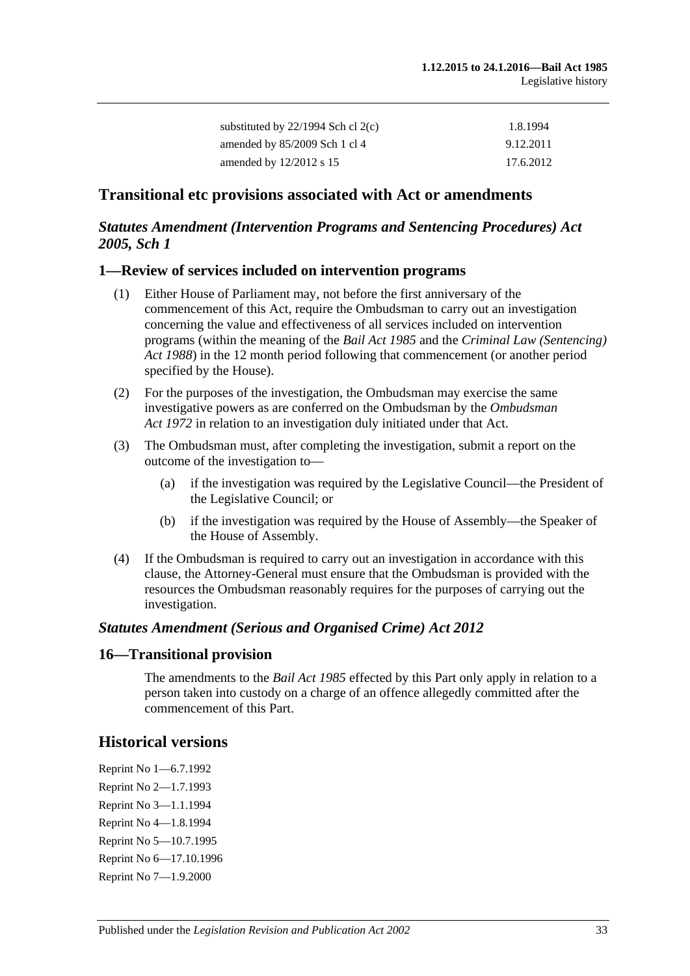| substituted by $22/1994$ Sch cl $2(c)$ | 1.8.1994  |
|----------------------------------------|-----------|
| amended by $85/2009$ Sch 1 cl 4        | 9.12.2011 |
| amended by $12/2012$ s 15              | 17.6.2012 |

#### **Transitional etc provisions associated with Act or amendments**

# *Statutes Amendment (Intervention Programs and Sentencing Procedures) Act 2005, Sch 1*

#### **1—Review of services included on intervention programs**

- (1) Either House of Parliament may, not before the first anniversary of the commencement of this Act, require the Ombudsman to carry out an investigation concerning the value and effectiveness of all services included on intervention programs (within the meaning of the *[Bail Act](http://www.legislation.sa.gov.au/index.aspx?action=legref&type=act&legtitle=Bail%20Act%201985) 1985* and the *[Criminal Law \(Sentencing\)](http://www.legislation.sa.gov.au/index.aspx?action=legref&type=act&legtitle=Criminal%20Law%20(Sentencing)%20Act%201988)  Act [1988](http://www.legislation.sa.gov.au/index.aspx?action=legref&type=act&legtitle=Criminal%20Law%20(Sentencing)%20Act%201988)*) in the 12 month period following that commencement (or another period specified by the House).
- (2) For the purposes of the investigation, the Ombudsman may exercise the same investigative powers as are conferred on the Ombudsman by the *[Ombudsman](http://www.legislation.sa.gov.au/index.aspx?action=legref&type=act&legtitle=Ombudsman%20Act%201972)  Act [1972](http://www.legislation.sa.gov.au/index.aspx?action=legref&type=act&legtitle=Ombudsman%20Act%201972)* in relation to an investigation duly initiated under that Act.
- (3) The Ombudsman must, after completing the investigation, submit a report on the outcome of the investigation to—
	- (a) if the investigation was required by the Legislative Council—the President of the Legislative Council; or
	- (b) if the investigation was required by the House of Assembly—the Speaker of the House of Assembly.
- (4) If the Ombudsman is required to carry out an investigation in accordance with this clause, the Attorney-General must ensure that the Ombudsman is provided with the resources the Ombudsman reasonably requires for the purposes of carrying out the investigation.

#### *Statutes Amendment (Serious and Organised Crime) Act 2012*

#### **16—Transitional provision**

The amendments to the *[Bail Act](http://www.legislation.sa.gov.au/index.aspx?action=legref&type=act&legtitle=Bail%20Act%201985) 1985* effected by this Part only apply in relation to a person taken into custody on a charge of an offence allegedly committed after the commencement of this Part.

### **Historical versions**

Reprint No 1—6.7.1992 Reprint No 2—1.7.1993 Reprint No 3—1.1.1994 Reprint No 4—1.8.1994 Reprint No 5—10.7.1995 Reprint No 6—17.10.1996 Reprint No 7—1.9.2000